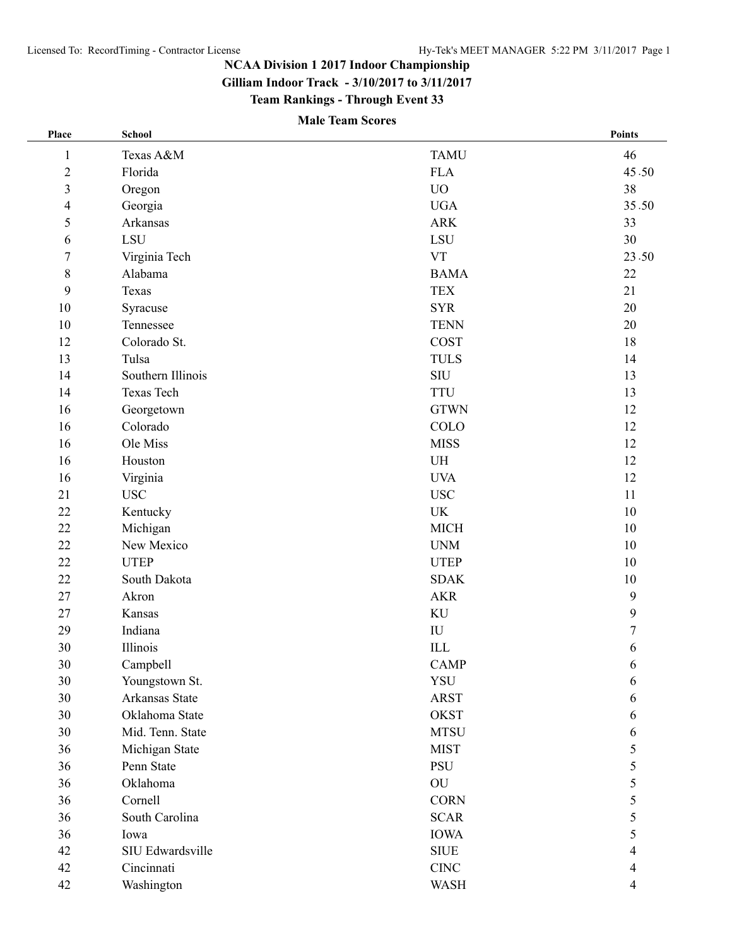**Gilliam Indoor Track - 3/10/2017 to 3/11/2017**

**Team Rankings - Through Event 33**

# **Male Team Scores**

| Place                   | <b>School</b>     |                | <b>Points</b>  |
|-------------------------|-------------------|----------------|----------------|
| $\mathbf{1}$            | Texas A&M         | <b>TAMU</b>    | 46             |
| $\sqrt{2}$              | Florida           | <b>FLA</b>     | 45.50          |
| $\overline{\mathbf{3}}$ | Oregon            | ${\rm UO}$     | 38             |
| $\overline{\mathbf{4}}$ | Georgia           | <b>UGA</b>     | 35.50          |
| 5                       | Arkansas          | <b>ARK</b>     | 33             |
| 6                       | LSU               | ${\rm LSU}$    | 30             |
| $\boldsymbol{7}$        | Virginia Tech     | <b>VT</b>      | 23.50          |
| $\,8\,$                 | Alabama           | <b>BAMA</b>    | 22             |
| 9                       | Texas             | <b>TEX</b>     | 21             |
| $10\,$                  | Syracuse          | <b>SYR</b>     | $20\,$         |
| $10\,$                  | Tennessee         | <b>TENN</b>    | 20             |
| 12                      | Colorado St.      | <b>COST</b>    | 18             |
| 13                      | Tulsa             | <b>TULS</b>    | 14             |
| 14                      | Southern Illinois | $\mathrm{SIU}$ | 13             |
| 14                      | Texas Tech        | <b>TTU</b>     | 13             |
| 16                      | Georgetown        | <b>GTWN</b>    | 12             |
| 16                      | Colorado          | COLO           | 12             |
| 16                      | Ole Miss          | <b>MISS</b>    | 12             |
| 16                      | Houston           | UH             | 12             |
| 16                      | Virginia          | <b>UVA</b>     | 12             |
| 21                      | <b>USC</b>        | <b>USC</b>     | 11             |
| 22                      | Kentucky          | UK             | 10             |
| 22                      | Michigan          | <b>MICH</b>    | 10             |
| 22                      | New Mexico        | <b>UNM</b>     | $10\,$         |
| 22                      | <b>UTEP</b>       | <b>UTEP</b>    | 10             |
| 22                      | South Dakota      | <b>SDAK</b>    | 10             |
| 27                      | Akron             | <b>AKR</b>     | 9              |
| 27                      | Kansas            | $\rm KU$       | 9              |
| 29                      | Indiana           | ${\rm IU}$     | $\overline{7}$ |
| 30                      | Illinois          | $\rm ILL$      | 6              |
| 30                      | Campbell          | <b>CAMP</b>    | 6              |
| 30                      | Youngstown St.    | YSU            | 6              |
| 30                      | Arkansas State    | <b>ARST</b>    | 6              |
| 30                      | Oklahoma State    | <b>OKST</b>    | 6              |
| 30                      | Mid. Tenn. State  | <b>MTSU</b>    | 6              |
| 36                      | Michigan State    | <b>MIST</b>    | 5              |
| 36                      | Penn State        | PSU            | 5              |
| 36                      | Oklahoma          | ${\rm OU}$     | 5              |
| 36                      | Cornell           | <b>CORN</b>    | 5              |
| 36                      | South Carolina    | <b>SCAR</b>    | 5              |
| 36                      | Iowa              | <b>IOWA</b>    | 5              |
| 42                      | SIU Edwardsville  | <b>SIUE</b>    | 4              |
| 42                      | Cincinnati        | <b>CINC</b>    | 4              |
| 42                      | Washington        | <b>WASH</b>    | 4              |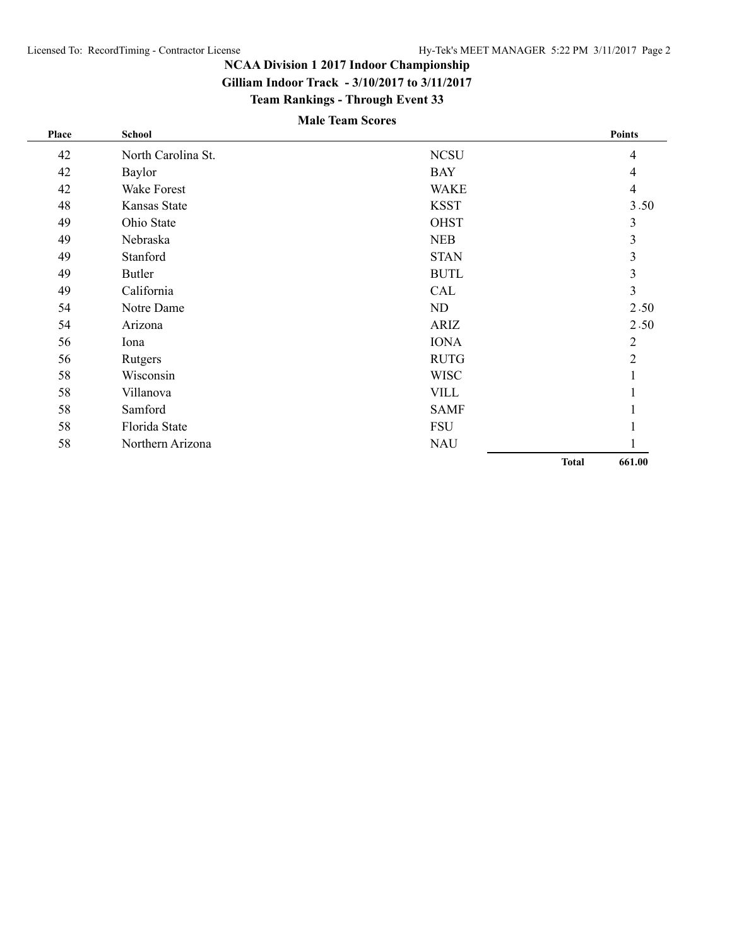**Gilliam Indoor Track - 3/10/2017 to 3/11/2017**

**Team Rankings - Through Event 33**

# **Male Team Scores**

| Place | <b>School</b>      |             |              | <b>Points</b>  |
|-------|--------------------|-------------|--------------|----------------|
| 42    | North Carolina St. | <b>NCSU</b> |              | $\overline{4}$ |
| 42    | Baylor             | <b>BAY</b>  |              | $\overline{4}$ |
| 42    | Wake Forest        | <b>WAKE</b> |              | $\overline{4}$ |
| 48    | Kansas State       | <b>KSST</b> |              | 3.50           |
| 49    | Ohio State         | <b>OHST</b> |              | 3              |
| 49    | Nebraska           | <b>NEB</b>  |              | $\mathfrak{Z}$ |
| 49    | Stanford           | <b>STAN</b> |              | $\mathfrak{Z}$ |
| 49    | <b>Butler</b>      | <b>BUTL</b> |              | $\mathfrak{Z}$ |
| 49    | California         | CAL         |              | 3              |
| 54    | Notre Dame         | ND          |              | 2.50           |
| 54    | Arizona            | ARIZ        |              | 2.50           |
| 56    | Iona               | <b>IONA</b> |              | $\mathfrak{2}$ |
| 56    | Rutgers            | <b>RUTG</b> |              | $\overline{2}$ |
| 58    | Wisconsin          | <b>WISC</b> |              | $\mathbf{1}$   |
| 58    | Villanova          | <b>VILL</b> |              | $\mathbf{I}$   |
| 58    | Samford            | <b>SAMF</b> |              | $\mathbf{I}$   |
| 58    | Florida State      | <b>FSU</b>  |              | J.             |
| 58    | Northern Arizona   | <b>NAU</b>  |              |                |
|       |                    |             | <b>Total</b> | 661.00         |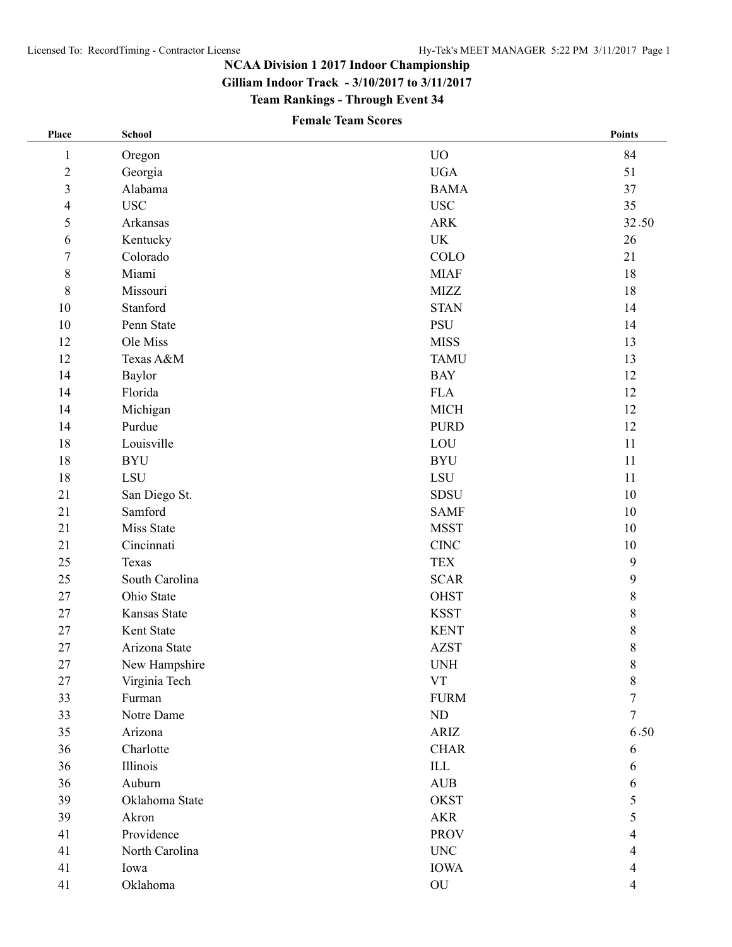**Gilliam Indoor Track - 3/10/2017 to 3/11/2017**

**Team Rankings - Through Event 34**

# **Female Team Scores**

| Place                   | <b>School</b>  |                           | Points           |
|-------------------------|----------------|---------------------------|------------------|
| $\mathbf{1}$            | Oregon         | <b>UO</b>                 | 84               |
| $\sqrt{2}$              | Georgia        | <b>UGA</b>                | 51               |
| $\overline{\mathbf{3}}$ | Alabama        | <b>BAMA</b>               | 37               |
| 4                       | $_{\rm USC}$   | <b>USC</b>                | 35               |
| 5                       | Arkansas       | <b>ARK</b>                | 32.50            |
| 6                       | Kentucky       | UK                        | 26               |
| $\sqrt{ }$              | Colorado       | COLO                      | 21               |
| $8\,$                   | Miami          | <b>MIAF</b>               | 18               |
| $8\,$                   | Missouri       | <b>MIZZ</b>               | 18               |
| 10                      | Stanford       | <b>STAN</b>               | 14               |
| $10\,$                  | Penn State     | PSU                       | 14               |
| 12                      | Ole Miss       | <b>MISS</b>               | 13               |
| 12                      | Texas A&M      | <b>TAMU</b>               | 13               |
| 14                      | Baylor         | <b>BAY</b>                | 12               |
| 14                      | Florida        | <b>FLA</b>                | 12               |
| 14                      | Michigan       | <b>MICH</b>               | 12               |
| 14                      | Purdue         | <b>PURD</b>               | 12               |
| 18                      | Louisville     | LOU                       | 11               |
| 18                      | <b>BYU</b>     | <b>BYU</b>                | 11               |
| 18                      | LSU            | LSU                       | 11               |
| 21                      | San Diego St.  | <b>SDSU</b>               | 10               |
| 21                      | Samford        | <b>SAMF</b>               | 10               |
| 21                      | Miss State     | <b>MSST</b>               | 10               |
| 21                      | Cincinnati     | $\rm CINC$                | 10               |
| 25                      | Texas          | <b>TEX</b>                | $\boldsymbol{9}$ |
| 25                      | South Carolina | <b>SCAR</b>               | 9                |
| 27                      | Ohio State     | <b>OHST</b>               | $\,8\,$          |
| 27                      | Kansas State   | <b>KSST</b>               | $\,8\,$          |
| 27                      | Kent State     | <b>KENT</b>               | $\,$ $\,$        |
| 27                      | Arizona State  | <b>AZST</b>               | 8                |
| 27                      | New Hampshire  | <b>UNH</b>                | 8                |
| 27                      | Virginia Tech  | ${\rm VT}$                | $8\,$            |
| 33                      | Furman         | <b>FURM</b>               | 7                |
| 33                      | Notre Dame     | $\rm ND$                  | $\overline{7}$   |
| 35                      | Arizona        | ARIZ                      | 6.50             |
| 36                      | Charlotte      | <b>CHAR</b>               | 6                |
| 36                      | Illinois       | $\ensuremath{\text{ILL}}$ | 6                |
| 36                      | Auburn         | $\operatorname{AUB}$      | 6                |
| 39                      | Oklahoma State | <b>OKST</b>               | 5                |
| 39                      | Akron          | <b>AKR</b>                | 5                |
| 41                      | Providence     | <b>PROV</b>               | 4                |
| 41                      | North Carolina | $\ensuremath{\text{UNC}}$ | 4                |
| 41                      | Iowa           | <b>IOWA</b>               | 4                |
| 41                      | Oklahoma       | ${\rm OU}$                | 4                |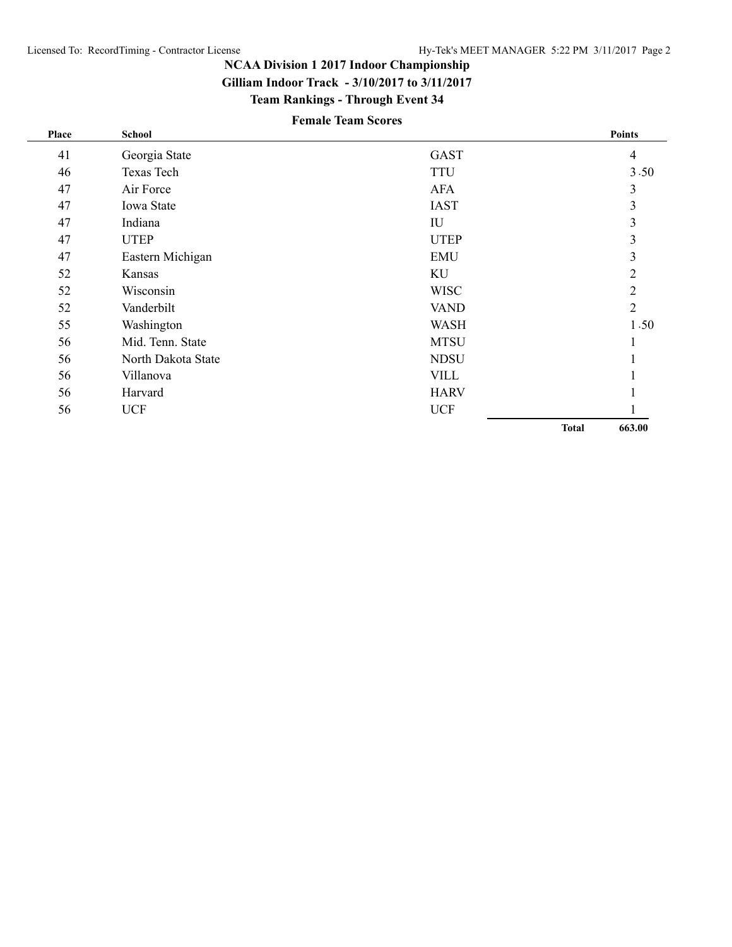**Gilliam Indoor Track - 3/10/2017 to 3/11/2017**

**Team Rankings - Through Event 34**

# **Female Team Scores**

| Place | School             |             |              | <b>Points</b>  |
|-------|--------------------|-------------|--------------|----------------|
| 41    | Georgia State      | <b>GAST</b> |              | $\overline{4}$ |
| 46    | Texas Tech         | <b>TTU</b>  |              | 3.50           |
| 47    | Air Force          | <b>AFA</b>  |              | 3              |
| 47    | Iowa State         | <b>IAST</b> |              | 3              |
| 47    | Indiana            | IU          |              | 3              |
| 47    | <b>UTEP</b>        | <b>UTEP</b> |              | 3              |
| 47    | Eastern Michigan   | <b>EMU</b>  |              | 3              |
| 52    | Kansas             | KU          |              | $\overline{2}$ |
| 52    | Wisconsin          | <b>WISC</b> |              | $\overline{2}$ |
| 52    | Vanderbilt         | <b>VAND</b> |              | $\overline{2}$ |
| 55    | Washington         | <b>WASH</b> |              | 1.50           |
| 56    | Mid. Tenn. State   | <b>MTSU</b> |              |                |
| 56    | North Dakota State | <b>NDSU</b> |              |                |
| 56    | Villanova          | <b>VILL</b> |              |                |
| 56    | Harvard            | <b>HARV</b> |              |                |
| 56    | <b>UCF</b>         | <b>UCF</b>  |              |                |
|       |                    |             | <b>Total</b> | 663.00         |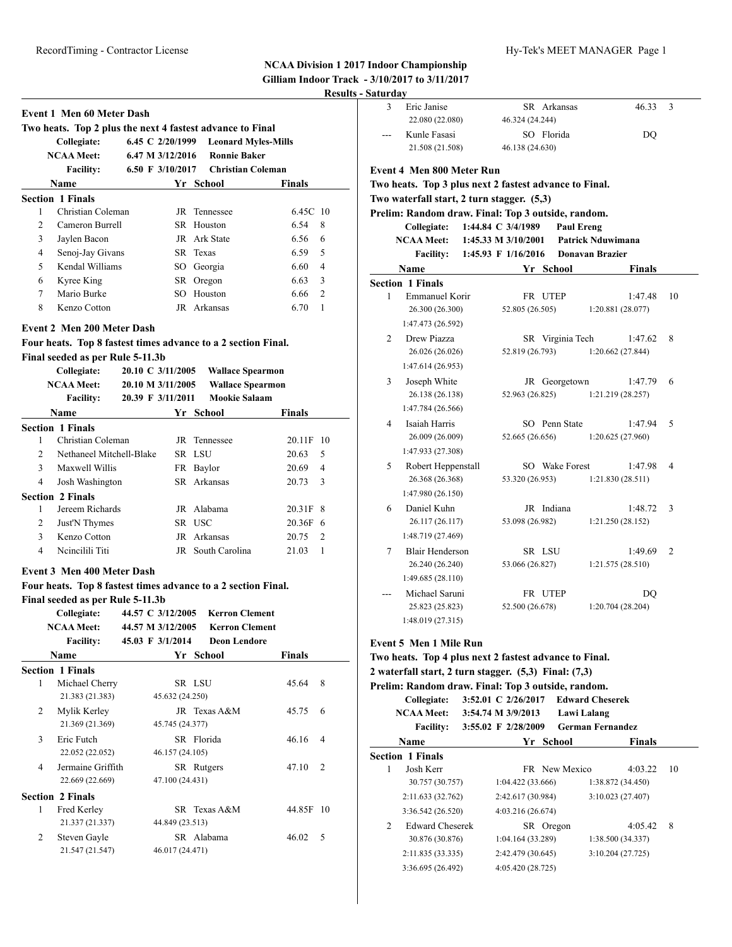|                |                                                                                                                                                                                                |                                       |                                                                                  | NUAA DIVISION 1 2017        |                  |
|----------------|------------------------------------------------------------------------------------------------------------------------------------------------------------------------------------------------|---------------------------------------|----------------------------------------------------------------------------------|-----------------------------|------------------|
|                |                                                                                                                                                                                                |                                       |                                                                                  | <b>Gilliam Indoor Track</b> | <b>Results -</b> |
|                |                                                                                                                                                                                                |                                       |                                                                                  |                             |                  |
|                | <b>Event 1 Men 60 Meter Dash</b>                                                                                                                                                               |                                       |                                                                                  |                             |                  |
|                | Two heats. Top 2 plus the next 4 fastest advance to Final<br>Collegiate:                                                                                                                       |                                       | 6.45 C 2/20/1999 Leonard Myles-Mills                                             |                             |                  |
|                | <b>NCAA Meet:</b>                                                                                                                                                                              |                                       | 6.47 M 3/12/2016 Ronnie Baker                                                    |                             |                  |
|                |                                                                                                                                                                                                |                                       | 6.50 F 3/10/2017 Christian Coleman                                               |                             |                  |
|                | <b>Facility:</b>                                                                                                                                                                               |                                       | Yr School                                                                        |                             |                  |
|                | Name                                                                                                                                                                                           |                                       |                                                                                  | <b>Finals</b>               |                  |
| 1              | <b>Section 1 Finals</b><br>Christian Coleman                                                                                                                                                   |                                       | JR Tennessee                                                                     | 6.45C 10                    |                  |
| $\overline{2}$ | Cameron Burrell                                                                                                                                                                                |                                       | SR Houston                                                                       | 6.54                        | 8                |
| 3              | Jaylen Bacon                                                                                                                                                                                   |                                       | JR Ark State                                                                     | 6.56                        | 6                |
| $\overline{4}$ | Senoj-Jay Givans                                                                                                                                                                               |                                       | SR Texas                                                                         | 6.59                        | 5                |
| 5              | Kendal Williams                                                                                                                                                                                |                                       | SO Georgia                                                                       | 6.60                        | $\overline{4}$   |
| 6              | Kyree King                                                                                                                                                                                     |                                       | SR Oregon                                                                        | 6.63                        | 3                |
| 7              | Mario Burke                                                                                                                                                                                    |                                       | SO Houston                                                                       | 6.66                        | $\overline{2}$   |
| 8              | Kenzo Cotton                                                                                                                                                                                   |                                       | JR Arkansas                                                                      | 6.70                        | $\mathbf{1}$     |
|                |                                                                                                                                                                                                |                                       |                                                                                  |                             |                  |
|                | <b>Event 2 Men 200 Meter Dash</b>                                                                                                                                                              |                                       |                                                                                  |                             |                  |
|                | Four heats. Top 8 fastest times advance to a 2 section Final.                                                                                                                                  |                                       |                                                                                  |                             |                  |
|                | Final seeded as per Rule 5-11.3b                                                                                                                                                               |                                       |                                                                                  |                             |                  |
|                | Collegiate:                                                                                                                                                                                    | 20.10 C 3/11/2005                     | <b>Wallace Spearmon</b>                                                          |                             |                  |
|                | <b>NCAA</b> Meet:                                                                                                                                                                              | 20.10 M 3/11/2005                     |                                                                                  | <b>Wallace Spearmon</b>     |                  |
|                | <b>Facility:</b>                                                                                                                                                                               | 20.39 F 3/11/2011                     | <b>Mookie Salaam</b>                                                             |                             |                  |
|                | <b>Name</b>                                                                                                                                                                                    |                                       | Yr School                                                                        | Finals                      |                  |
|                | <b>Section 1 Finals</b>                                                                                                                                                                        |                                       |                                                                                  |                             |                  |
| 1              | Christian Coleman                                                                                                                                                                              |                                       | JR Tennessee                                                                     | 20.11F 10                   |                  |
| $\overline{c}$ | Nethaneel Mitchell-Blake                                                                                                                                                                       |                                       | SR LSU                                                                           | 20.63                       | 5                |
| 3              | Maxwell Willis                                                                                                                                                                                 |                                       | FR Baylor                                                                        | 20.69                       | 4                |
| $\overline{4}$ | Josh Washington                                                                                                                                                                                |                                       | SR Arkansas                                                                      | 20.73                       | 3                |
|                | <b>Section 2 Finals</b>                                                                                                                                                                        |                                       |                                                                                  |                             |                  |
| 1              | Jereem Richards                                                                                                                                                                                |                                       | JR Alabama                                                                       | 20.31F 8                    |                  |
| 2              | Just'N Thymes                                                                                                                                                                                  |                                       | SR USC                                                                           | $20.36F$ 6                  |                  |
| 3              | Kenzo Cotton                                                                                                                                                                                   |                                       | JR Arkansas                                                                      | 20.75                       | 2                |
| 4              | Neineilili Titi                                                                                                                                                                                |                                       | JR South Carolina                                                                | 21.03                       | $\mathbf{1}$     |
|                | <b>Event 3 Men 400 Meter Dash</b><br>Four heats. Top 8 fastest times advance to a 2 section Final.<br>Final seeded as per Rule 5-11.3b<br>Collegiate:<br><b>NCAA Meet:</b><br><b>Facility:</b> | 44.57 M 3/12/2005<br>45.03 F 3/1/2014 | 44.57 C 3/12/2005 Kerron Clement<br><b>Kerron Clement</b><br><b>Deon Lendore</b> |                             |                  |
|                | Name                                                                                                                                                                                           |                                       | Yr School                                                                        | <b>Finals</b>               |                  |
|                | <b>Section 1 Finals</b>                                                                                                                                                                        |                                       |                                                                                  |                             |                  |
| 1              | Michael Cherry<br>21.383 (21.383)                                                                                                                                                              | 45.632 (24.250)                       | SR LSU                                                                           | 45.64                       | 8                |
| 2              | Mylik Kerley<br>21.369 (21.369)                                                                                                                                                                | 45.745 (24.377)                       | JR Texas A&M                                                                     | 45.75                       | 6                |
| 3              | Eric Futch<br>22.052 (22.052)                                                                                                                                                                  | 46.157 (24.105)                       | SR Florida                                                                       | 46.16                       | $\overline{4}$   |
| 4              | Jermaine Griffith<br>22.669 (22.669)                                                                                                                                                           | 47.100 (24.431)                       | SR Rutgers                                                                       | 47.10                       | 2                |
|                | <b>Section 2 Finals</b>                                                                                                                                                                        |                                       |                                                                                  |                             |                  |
| 1              | Fred Kerley<br>21.337 (21.337)                                                                                                                                                                 | 44.849 (23.513)                       | SR Texas A&M                                                                     | 44.85F 10                   |                  |
| 2              | Steven Gayle<br>21.547 (21.547)                                                                                                                                                                | 46.017 (24.471)                       | SR Alabama                                                                       | 46.02                       | 5                |

| 3 | Saturday<br>Eric Janise                                |                       | SR Arkansas   |                   | 46.33                        | 3              |
|---|--------------------------------------------------------|-----------------------|---------------|-------------------|------------------------------|----------------|
|   | 22.080 (22.080)                                        | 46.324 (24.244)       |               |                   |                              |                |
|   | Kunle Fasasi                                           |                       | SO Florida    |                   | DQ                           |                |
|   | 21.508 (21.508)                                        | 46.138 (24.630)       |               |                   |                              |                |
|   | <b>Event 4 Men 800 Meter Run</b>                       |                       |               |                   |                              |                |
|   | Two heats. Top 3 plus next 2 fastest advance to Final. |                       |               |                   |                              |                |
|   | Two waterfall start, 2 turn stagger. (5,3)             |                       |               |                   |                              |                |
|   | Prelim: Random draw. Final: Top 3 outside, random.     |                       |               |                   |                              |                |
|   | Collegiate:                                            | 1:44.84 C 3/4/1989    |               | <b>Paul Ereng</b> |                              |                |
|   | <b>NCAA Meet:</b>                                      | 1:45.33 M $3/10/2001$ |               |                   | Patrick Nduwimana            |                |
|   | <b>Facility:</b>                                       | 1:45.93 F 1/16/2016   |               |                   | <b>Donavan Brazier</b>       |                |
|   | Name                                                   |                       | Yr School     |                   | <b>Finals</b>                |                |
|   | <b>Section 1 Finals</b>                                |                       |               |                   |                              |                |
| 1 | Emmanuel Korir                                         |                       | FR UTEP       |                   | 1:47.48                      | 10             |
|   | 26.300 (26.300)                                        | 52.805 (26.505)       |               |                   | 1:20.881 (28.077)            |                |
|   | 1:47.473 (26.592)                                      |                       |               |                   |                              |                |
| 2 | Drew Piazza                                            |                       |               | SR Virginia Tech  | 1:47.62                      | 8              |
|   | 26.026 (26.026)                                        | 52.819 (26.793)       |               |                   | 1:20.662 (27.844)            |                |
|   | 1:47.614 (26.953)                                      |                       |               |                   |                              |                |
| 3 | Joseph White                                           |                       |               | JR Georgetown     | 1:47.79                      | 6              |
|   | 26.138 (26.138)                                        | 52.963 (26.825)       |               |                   | 1:21.219 (28.257)            |                |
|   | 1:47.784 (26.566)                                      |                       |               |                   |                              |                |
| 4 | Isaiah Harris<br>26.009 (26.009)                       | 52.665 (26.656)       | SO Penn State |                   | 1:47.94<br>1:20.625 (27.960) | 5              |
|   | 1:47.933 (27.308)                                      |                       |               |                   |                              |                |
| 5 |                                                        |                       |               | SO Wake Forest    |                              | 4              |
|   | Robert Heppenstall<br>26.368 (26.368)                  | 53.320 (26.953)       |               |                   | 1:47.98<br>1:21.830(28.511)  |                |
|   | 1:47.980 (26.150)                                      |                       |               |                   |                              |                |
| 6 | Daniel Kuhn                                            |                       | JR Indiana    |                   | 1:48.72                      | 3              |
|   | 26.117 (26.117)                                        | 53.098 (26.982)       |               |                   | 1:21.250 (28.152)            |                |
|   | 1:48.719 (27.469)                                      |                       |               |                   |                              |                |
| 7 | <b>Blair Henderson</b>                                 |                       | SR LSU        |                   | 1:49.69                      | $\mathfrak{D}$ |
|   | 26.240 (26.240)                                        | 53.066 (26.827)       |               |                   | 1:21.575 (28.510)            |                |
|   | 1:49.685 (28.110)                                      |                       |               |                   |                              |                |
|   | Michael Saruni                                         |                       | FR UTEP       |                   | DO                           |                |
|   | 25.823 (25.823)                                        | 52.500 (26.678)       |               |                   | 1:20.704 (28.204)            |                |
|   | 1:48.019 (27.315)                                      |                       |               |                   |                              |                |
|   |                                                        |                       |               |                   |                              |                |

|                | $\blacksquare$ waterian start, $\blacksquare$ turn stagger, $\langle v, v \rangle$ , indue $\langle v, v \rangle$ |  |                                     |           |               |                         |    |  |  |  |
|----------------|-------------------------------------------------------------------------------------------------------------------|--|-------------------------------------|-----------|---------------|-------------------------|----|--|--|--|
|                | Prelim: Random draw. Final: Top 3 outside, random.                                                                |  |                                     |           |               |                         |    |  |  |  |
|                | Collegiate:                                                                                                       |  | 3:52.01 C 2/26/2017 Edward Cheserek |           |               |                         |    |  |  |  |
|                | <b>NCAA Meet:</b>                                                                                                 |  | 3:54.74 M 3/9/2013                  |           | Lawi Lalang   |                         |    |  |  |  |
|                | <b>Facility:</b>                                                                                                  |  | $3:55.02 \div 2/28/2009$            |           |               | <b>German Fernandez</b> |    |  |  |  |
|                | <b>Name</b>                                                                                                       |  | Yr                                  | School    |               | <b>Finals</b>           |    |  |  |  |
|                | <b>Section 1 Finals</b>                                                                                           |  |                                     |           |               |                         |    |  |  |  |
| 1              | Josh Kerr                                                                                                         |  |                                     |           | FR New Mexico | 4:03.22                 | 10 |  |  |  |
|                | 30.757 (30.757)                                                                                                   |  | 1:04.422(33.666)                    |           |               | 1:38.872 (34.450)       |    |  |  |  |
|                | 2:11.633 (32.762)                                                                                                 |  | 2:42.617 (30.984)                   |           |               | 3:10.023 (27.407)       |    |  |  |  |
|                | 3:36.542 (26.520)                                                                                                 |  | 4:03.216 (26.674)                   |           |               |                         |    |  |  |  |
| $\mathfrak{D}$ | <b>Edward Cheserek</b>                                                                                            |  |                                     | SR Oregon |               | 4:05.42                 | 8  |  |  |  |
|                | 30.876 (30.876)                                                                                                   |  | 1:04.164 (33.289)                   |           |               | 1:38.500 (34.337)       |    |  |  |  |
|                | 2:11.835 (33.335)                                                                                                 |  | 2:42.479(30.645)                    |           |               | 3:10.204(27.725)        |    |  |  |  |
|                | 3:36.695 (26.492)                                                                                                 |  | 4:05.420 (28.725)                   |           |               |                         |    |  |  |  |
|                |                                                                                                                   |  |                                     |           |               |                         |    |  |  |  |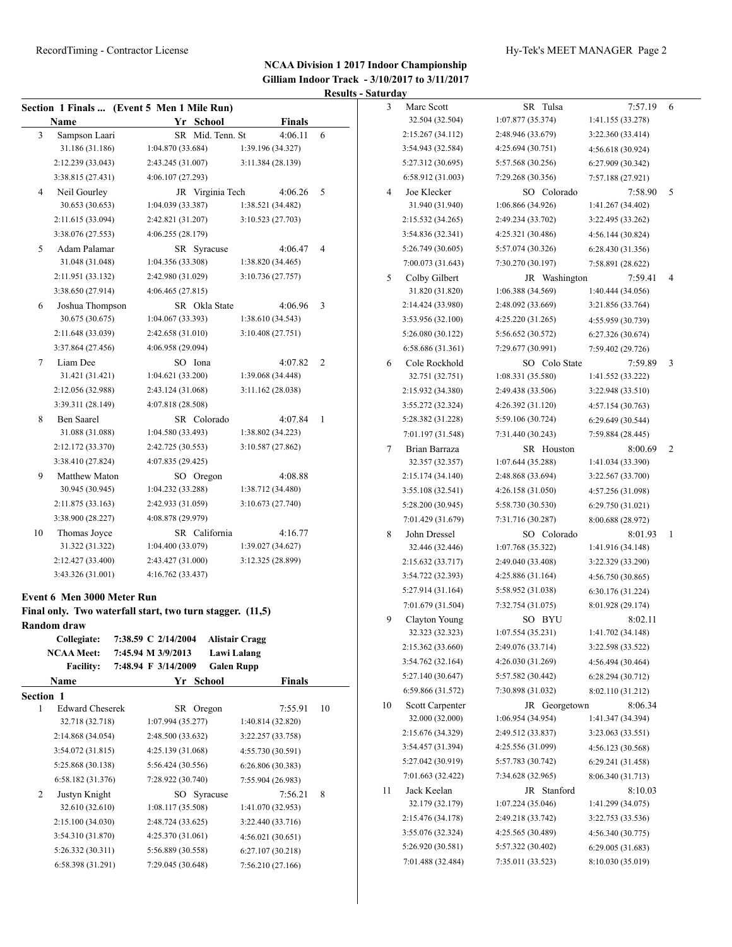|    | Name                              | Section 1 Finals  (Event 5 Men 1 Mile Run)<br>Yr School   | <b>Finals</b>                |                         | 3  | Marc Scott<br>32.504 (32.504)    | SR Tulsa<br>1:07.877 (35.374)  | 7:57.19<br>1:41.155 (33.278) |
|----|-----------------------------------|-----------------------------------------------------------|------------------------------|-------------------------|----|----------------------------------|--------------------------------|------------------------------|
| 3  | Sampson Laari                     | SR Mid. Tenn. St                                          | $4:06.11$ 6                  |                         |    | 2:15.267 (34.112)                | 2:48.946 (33.679)              | 3:22.360 (33.414)            |
|    | 31.186 (31.186)                   | 1:04.870 (33.684)                                         | 1:39.196 (34.327)            |                         |    | 3:54.943 (32.584)                | 4:25.694(30.751)               | 4:56.618(30.924)             |
|    | 2:12.239 (33.043)                 | 2:43.245 (31.007)                                         | 3:11.384 (28.139)            |                         |    | 5:27.312 (30.695)                | 5:57.568 (30.256)              | 6:27.909 (30.342)            |
|    | 3:38.815 (27.431)                 | 4:06.107 (27.293)                                         |                              |                         |    | 6:58.912 (31.003)                | 7:29.268 (30.356)              | 7:57.188 (27.921)            |
| 4  | Neil Gourley                      | JR Virginia Tech                                          | 4:06.26                      | 5                       | 4  | Joe Klecker                      | SO Colorado                    | 7:58.90                      |
|    | 30.653 (30.653)                   | 1:04.039 (33.387)                                         | 1:38.521 (34.482)            |                         |    | 31.940 (31.940)                  | 1:06.866 (34.926)              | 1:41.267 (34.402)            |
|    | 2:11.615 (33.094)                 | 2:42.821 (31.207)                                         | 3:10.523 (27.703)            |                         |    | 2:15.532 (34.265)                | 2:49.234 (33.702)              | 3:22.495 (33.262)            |
|    | 3:38.076 (27.553)                 | 4:06.255 (28.179)                                         |                              |                         |    | 3:54.836 (32.341)                | 4:25.321 (30.486)              | 4:56.144 (30.824)            |
| 5  | Adam Palamar                      | SR Syracuse                                               | 4:06.47                      | $\overline{4}$          |    | 5:26.749 (30.605)                | 5:57.074 (30.326)              | 6:28.430 (31.356)            |
|    | 31.048 (31.048)                   | 1:04.356 (33.308)                                         | 1:38.820 (34.465)            |                         |    | 7:00.073 (31.643)                | 7:30.270 (30.197)              | 7:58.891 (28.622)            |
|    | 2:11.951 (33.132)                 | 2:42.980 (31.029)                                         | 3:10.736 (27.757)            |                         | 5  | Colby Gilbert                    | JR Washington                  | 7:59.41                      |
|    | 3:38.650 (27.914)                 | 4:06.465(27.815)                                          |                              |                         |    | 31.820 (31.820)                  | 1:06.388 (34.569)              | 1:40.444 (34.056)            |
| 6  | Joshua Thompson                   | SR Okla State                                             | 4:06.96                      | $\overline{\mathbf{3}}$ |    | 2:14.424 (33.980)                | 2:48.092 (33.669)              | 3:21.856 (33.764)            |
|    | 30.675 (30.675)                   | 1:04.067(33.393)                                          | 1:38.610 (34.543)            |                         |    | 3:53.956 (32.100)                | 4:25.220 (31.265)              | 4:55.959 (30.739)            |
|    | 2:11.648 (33.039)                 | 2:42.658 (31.010)                                         | 3:10.408 (27.751)            |                         |    | 5:26.080 (30.122)                | 5:56.652 (30.572)              | 6:27.326 (30.674)            |
|    | 3:37.864 (27.456)                 | 4:06.958 (29.094)                                         |                              |                         |    | 6:58.686 (31.361)                | 7:29.677 (30.991)              | 7:59.402 (29.726)            |
| 7  | Liam Dee                          | SO Iona                                                   | 4:07.82                      | 2                       | 6  | Cole Rockhold                    | SO Colo State                  | 7:59.89                      |
|    | 31.421 (31.421)                   | 1:04.621(33.200)                                          | 1:39.068 (34.448)            |                         |    | 32.751 (32.751)                  | 1:08.331 (35.580)              | 1:41.552 (33.222)            |
|    | 2:12.056 (32.988)                 | 2:43.124 (31.068)                                         | 3:11.162 (28.038)            |                         |    | 2:15.932 (34.380)                | 2:49.438 (33.506)              | 3:22.948 (33.510)            |
|    | 3:39.311 (28.149)                 | 4:07.818 (28.508)                                         |                              |                         |    | 3:55.272 (32.324)                | 4:26.392 (31.120)              |                              |
| 8  | Ben Saarel                        | SR Colorado                                               | 4:07.84                      | - 1                     |    | 5:28.382 (31.228)                | 5:59.106 (30.724)              | 4:57.154 (30.763)            |
|    | 31.088 (31.088)                   | 1:04.580 (33.493)                                         | 1:38.802 (34.223)            |                         |    | 7:01.197 (31.548)                |                                | 6:29.649 (30.544)            |
|    | 2:12.172 (33.370)                 | 2:42.725 (30.553)                                         | 3:10.587 (27.862)            |                         | 7  |                                  | 7:31.440 (30.243)              | 7:59.884 (28.445)            |
|    | 3:38.410 (27.824)                 | 4:07.835 (29.425)                                         |                              |                         |    | Brian Barraza<br>32.357 (32.357) | SR Houston<br>1:07.644(35.288) | 8:00.69<br>1:41.034 (33.390) |
| 9  | Matthew Maton                     | SO Oregon                                                 | 4:08.88                      |                         |    | 2:15.174 (34.140)                | 2:48.868 (33.694)              | 3:22.567 (33.700)            |
|    | 30.945 (30.945)                   | 1:04.232 (33.288)                                         | 1:38.712 (34.480)            |                         |    |                                  |                                |                              |
|    | 2:11.875 (33.163)                 | 2:42.933 (31.059)                                         | 3:10.673 (27.740)            |                         |    | 3:55.108 (32.541)                | 4:26.158(31.050)               | 4:57.256 (31.098)            |
|    | 3:38.900 (28.227)                 | 4:08.878 (29.979)                                         |                              |                         |    | 5:28.200 (30.945)                | 5:58.730 (30.530)              | 6:29.750 (31.021)            |
|    |                                   |                                                           |                              |                         |    | 7:01.429 (31.679)                | 7:31.716 (30.287)              | 8:00.688 (28.972)            |
| 10 | Thomas Joyce<br>31.322 (31.322)   | SR California<br>1:04.400(33.079)                         | 4:16.77<br>1:39.027 (34.627) |                         | 8  | John Dressel                     | SO Colorado                    | 8:01.93                      |
|    | 2:12.427 (33.400)                 | 2:43.427 (31.000)                                         | 3:12.325 (28.899)            |                         |    | 32.446 (32.446)                  | 1:07.768 (35.322)              | 1:41.916 (34.148)            |
|    | 3:43.326 (31.001)                 |                                                           |                              |                         |    | 2:15.632 (33.717)                | 2:49.040 (33.408)              | 3:22.329 (33.290)            |
|    |                                   | 4:16.762 (33.437)                                         |                              |                         |    | 3:54.722 (32.393)                | 4:25.886(31.164)               | 4:56.750 (30.865)            |
|    | <b>Event 6 Men 3000 Meter Run</b> |                                                           |                              |                         |    | 5:27.914 (31.164)                | 5:58.952 (31.038)              | 6:30.176 (31.224)            |
|    |                                   | Final only. Two waterfall start, two turn stagger. (11,5) |                              |                         |    | 7:01.679 (31.504)                | 7:32.754 (31.075)              | 8:01.928 (29.174)            |
|    | <b>Random</b> draw                |                                                           |                              |                         | 9  | Clayton Young                    | SO BYU                         | 8:02.11                      |
|    | Collegiate:                       | 7:38.59 C 2/14/2004                                       | <b>Alistair Cragg</b>        |                         |    | 32.323 (32.323)                  | 1:07.554(35.231)               | 1:41.702 (34.148)            |
|    | <b>NCAA Meet:</b>                 | 7:45.94 M 3/9/2013                                        | <b>Lawi Lalang</b>           |                         |    | 2:15.362 (33.660)                | 2:49.076 (33.714)              | 3:22.598 (33.522)            |
|    | <b>Facility:</b>                  | 7:48.94 F 3/14/2009                                       | <b>Galen Rupp</b>            |                         |    | 3:54.762 (32.164)                | 4:26.030 (31.269)              | 4:56.494 (30.464)            |
|    | Name                              | Yr School                                                 | <b>Finals</b>                |                         |    | 5:27.140 (30.647)                | 5:57.582 (30.442)              | 6:28.294 (30.712)            |
|    | Section 1                         |                                                           |                              |                         |    | 6:59.866 (31.572)                | 7:30.898 (31.032)              | 8:02.110 (31.212)            |
|    | <b>Edward Cheserek</b>            | SR Oregon                                                 | 7:55.91                      | 10                      | 10 | Scott Carpenter                  | JR Georgetown                  | 8:06.34                      |
| 1  | 32.718 (32.718)                   | 1:07.994 (35.277)                                         | 1:40.814 (32.820)            |                         |    | 32.000 (32.000)                  | 1:06.954(34.954)               | 1:41.347 (34.394)            |
|    |                                   | 2:48.500 (33.632)                                         | 3:22.257 (33.758)            |                         |    | 2:15.676 (34.329)                | 2:49.512 (33.837)              | 3:23.063 (33.551)            |
|    | 2:14.868 (34.054)                 |                                                           | 4:55.730 (30.591)            |                         |    | 3:54.457 (31.394)                | 4:25.556 (31.099)              | 4:56.123 (30.568)            |
|    | 3:54.072(31.815)                  | 4:25.139 (31.068)                                         |                              |                         |    | 5:27.042 (30.919)                | 5:57.783 (30.742)              | 6:29.241 (31.458)            |
|    | 5:25.868 (30.138)                 | 5:56.424 (30.556)                                         | 6:26.806 (30.383)            |                         |    |                                  |                                |                              |
|    | 6:58.182 (31.376)                 | 7:28.922 (30.740)                                         | 7:55.904 (26.983)            |                         |    | 7:01.663 (32.422)                | 7:34.628 (32.965)              | 8:06.340 (31.713)            |
| 2  | Justyn Knight                     | SO Syracuse                                               | 7:56.21                      | 8                       | 11 | Jack Keelan                      | JR Stanford                    | 8:10.03                      |
|    | 32.610 (32.610)                   | 1:08.117 (35.508)                                         | 1:41.070 (32.953)            |                         |    | 32.179 (32.179)                  | 1:07.224(35.046)               | 1:41.299 (34.075)            |
|    | 2:15.100 (34.030)                 | 2:48.724 (33.625)                                         | 3:22.440 (33.716)            |                         |    | 2:15.476 (34.178)                | 2:49.218 (33.742)              | 3:22.753 (33.536)            |
|    | 3:54.310 (31.870)                 | 4:25.370 (31.061)                                         | 4:56.021(30.651)             |                         |    | 3:55.076 (32.324)                | 4:25.565 (30.489)              | 4:56.340 (30.775)            |
|    | 5:26.332 (30.311)                 | 5:56.889 (30.558)                                         | 6:27.107 (30.218)            |                         |    | 5:26.920 (30.581)                | 5:57.322 (30.402)              | 6:29.005 (31.683)            |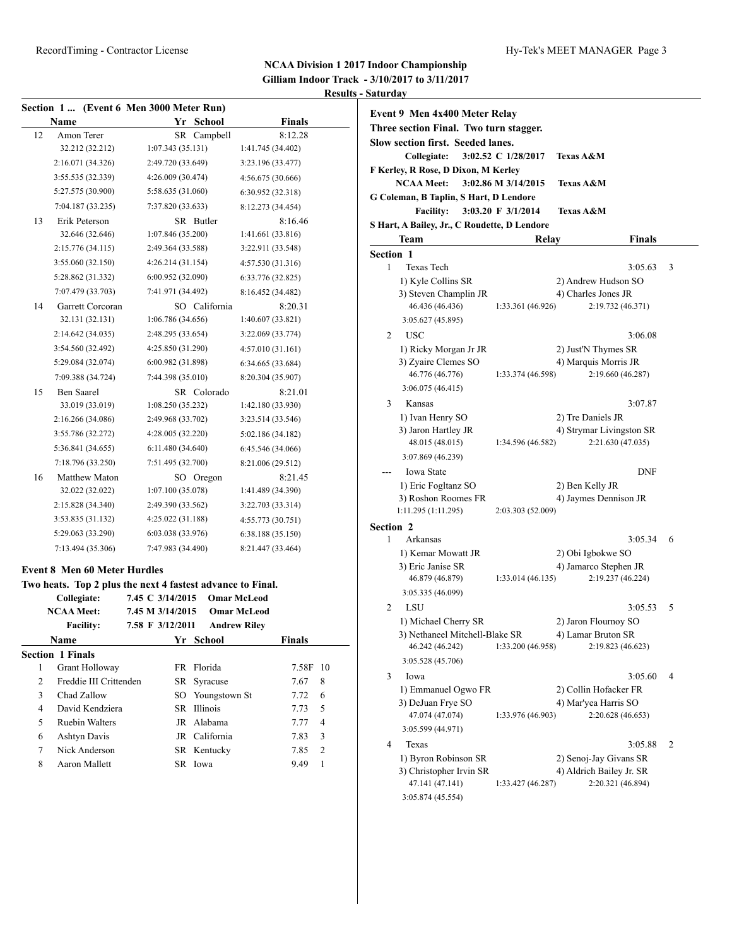|    |                                     | Section 1 (Event 6 Men 3000 Meter Run)                     |                                |
|----|-------------------------------------|------------------------------------------------------------|--------------------------------|
|    | Name                                | Yr                                                         | <b>School</b><br><b>Finals</b> |
| 12 | Amon Terer                          | SR Campbell                                                | 8:12.28                        |
|    | 32.212 (32.212)                     | 1:07.343(35.131)                                           | 1:41.745 (34.402)              |
|    | 2:16.071 (34.326)                   | 2:49.720 (33.649)                                          | 3:23.196 (33.477)              |
|    | 3:55.535 (32.339)                   | 4:26.009 (30.474)                                          | 4:56.675 (30.666)              |
|    | 5:27.575 (30.900)                   | 5:58.635 (31.060)                                          | 6:30.952 (32.318)              |
|    | 7:04.187 (33.235)                   | 7:37.820 (33.633)                                          | 8:12.273 (34.454)              |
| 13 | Erik Peterson                       | SR Butler                                                  | 8:16.46                        |
|    | 32.646 (32.646)                     | 1:07.846 (35.200)                                          | 1:41.661 (33.816)              |
|    | 2:15.776 (34.115)                   | 2:49.364 (33.588)                                          | 3:22.911 (33.548)              |
|    | 3:55.060 (32.150)                   | 4:26.214(31.154)                                           | 4:57.530 (31.316)              |
|    | 5:28.862 (31.332)                   | 6:00.952 (32.090)                                          | 6:33.776 (32.825)              |
|    | 7:07.479 (33.703)                   | 7:41.971 (34.492)                                          | 8:16.452 (34.482)              |
| 14 | Garrett Corcoran                    | SO California                                              | 8:20.31                        |
|    | 32.131 (32.131)                     | 1:06.786 (34.656)                                          | 1:40.607 (33.821)              |
|    | 2:14.642 (34.035)                   | 2:48.295 (33.654)                                          | 3:22.069 (33.774)              |
|    | 3:54.560 (32.492)                   | 4:25.850 (31.290)                                          | 4:57.010(31.161)               |
|    | 5:29.084 (32.074)                   | 6:00.982 (31.898)                                          | 6:34.665 (33.684)              |
|    | 7:09.388 (34.724)                   | 7:44.398 (35.010)                                          | 8:20.304 (35.907)              |
| 15 | <b>Ben Saarel</b>                   | SR Colorado                                                | 8:21.01                        |
|    | 33.019 (33.019)                     | 1:08.250(35.232)                                           | 1:42.180 (33.930)              |
|    | 2:16.266 (34.086)                   | 2:49.968 (33.702)                                          | 3:23.514 (33.546)              |
|    | 3:55.786 (32.272)                   | 4:28.005 (32.220)                                          | 5:02.186 (34.182)              |
|    | 5:36.841 (34.655)                   | 6:11.480 (34.640)                                          | 6:45.546 (34.066)              |
|    | 7:18.796 (33.250)                   | 7:51.495 (32.700)                                          | 8:21.006 (29.512)              |
| 16 | Matthew Maton                       | SO Oregon                                                  | 8:21.45                        |
|    | 32.022 (32.022)                     | 1:07.100(35.078)                                           | 1:41.489 (34.390)              |
|    | 2:15.828 (34.340)                   | 2:49.390 (33.562)                                          | 3:22.703 (33.314)              |
|    | 3:53.835 (31.132)                   | 4:25.022 (31.188)                                          | 4:55.773 (30.751)              |
|    | 5:29.063 (33.290)                   | 6:03.038 (33.976)                                          | 6:38.188(35.150)               |
|    | 7:13.494 (35.306)                   | 7:47.983 (34.490)                                          | 8:21.447 (33.464)              |
|    | <b>Event 8 Men 60 Meter Hurdles</b> |                                                            |                                |
|    |                                     | Two heats. Top 2 plus the next 4 fastest advance to Final. |                                |
|    | Collegiate:                         | 7.45 C 3/14/2015                                           | <b>Omar McLeod</b>             |
|    | <b>NICLA A NALLAL</b>               | $7.45$ M $2/1.4/2015$                                      |                                |

|                             | <b>NCAA Meet:</b><br><b>Facility:</b> | 7.45 M 3/14/2015<br>7.58 F 3/12/2011 | <b>Omar McLeod</b><br><b>Andrew Riley</b> |               |                |
|-----------------------------|---------------------------------------|--------------------------------------|-------------------------------------------|---------------|----------------|
|                             | <b>Name</b>                           |                                      | Yr School                                 | <b>Finals</b> |                |
|                             | <b>Section 1 Finals</b>               |                                      |                                           |               |                |
| 1                           | Grant Holloway                        |                                      | FR Florida                                | 7.58F 10      |                |
| $\mathcal{D}_{\mathcal{L}}$ | Freddie III Crittenden                |                                      | SR Syracuse                               | 7.67          | 8              |
| 3                           | Chad Zallow                           |                                      | SO Youngstown St                          | 7.72          | 6              |
| 4                           | David Kendziera                       |                                      | SR Illinois                               | 7.73          | 5              |
| 5                           | <b>Ruebin Walters</b>                 |                                      | JR Alabama                                | 7.77          | $\overline{4}$ |
| 6                           | <b>Ashtyn Davis</b>                   |                                      | JR California                             | 7.83          | 3              |
| 7                           | Nick Anderson                         |                                      | SR Kentucky                               | 7.85          | $\overline{2}$ |
| 8                           | Aaron Mallett                         |                                      | SR Iowa                                   | 9.49          | 1              |
|                             |                                       |                                      |                                           |               |                |

|                  | Event 9 Men 4x400 Meter Relay<br>Three section Final. Two turn stagger.<br><b>Slow section first. Seeded lanes.</b><br>Collegiate:<br>F Kerley, R Rose, D Dixon, M Kerley<br><b>NCAA Meet:</b><br>G Coleman, B Taplin, S Hart, D Lendore<br><b>Facility:</b><br>S Hart, A Bailey, Jr., C Roudette, D Lendore | 3:02.52 C 1/28/2017<br>3:02.86 M 3/14/2015<br>3:03.20 F 3/1/2014 | <b>Texas A&amp;M</b><br><b>Texas A&amp;M</b><br><b>Texas A&amp;M</b>               |   |
|------------------|--------------------------------------------------------------------------------------------------------------------------------------------------------------------------------------------------------------------------------------------------------------------------------------------------------------|------------------------------------------------------------------|------------------------------------------------------------------------------------|---|
|                  | Team                                                                                                                                                                                                                                                                                                         | Relay                                                            | Finals                                                                             |   |
| <b>Section 1</b> |                                                                                                                                                                                                                                                                                                              |                                                                  |                                                                                    |   |
| 1                | <b>Texas Tech</b><br>1) Kyle Collins SR<br>3) Steven Champlin JR<br>46.436 (46.436)                                                                                                                                                                                                                          | 1:33.361 (46.926)                                                | 3:05.63<br>2) Andrew Hudson SO<br>4) Charles Jones JR<br>2:19.732 (46.371)         | 3 |
| 2                | 3:05.627 (45.895)<br>USC<br>1) Ricky Morgan Jr JR<br>3) Zyaire Clemes SO<br>46.776 (46.776)<br>3:06.075 (46.415)                                                                                                                                                                                             | 1:33.374 (46.598)                                                | 3:06.08<br>2) Just'N Thymes SR<br>4) Marquis Morris JR<br>2:19.660 (46.287)        |   |
| 3                | Kansas<br>1) Ivan Henry SO<br>3) Jaron Hartley JR<br>48.015 (48.015)<br>3:07.869 (46.239)                                                                                                                                                                                                                    | 1:34.596 (46.582)                                                | 3:07.87<br>2) Tre Daniels JR<br>4) Strymar Livingston SR<br>2:21.630 (47.035)      |   |
|                  | Iowa State<br>1) Eric Fogltanz SO<br>3) Roshon Roomes FR<br>1:11.295 (1:11.295)                                                                                                                                                                                                                              | 2:03.303 (52.009)                                                | <b>DNF</b><br>2) Ben Kelly JR<br>4) Jaymes Dennison JR                             |   |
| <b>Section 2</b> |                                                                                                                                                                                                                                                                                                              |                                                                  |                                                                                    |   |
| 1                | Arkansas<br>1) Kemar Mowatt JR<br>3) Eric Janise SR<br>46.879 (46.879)<br>3:05.335 (46.099)                                                                                                                                                                                                                  | 1:33.014 (46.135)                                                | 3:05.34<br>2) Obi Igbokwe SO<br>4) Jamarco Stephen JR<br>2:19.237 (46.224)         | 6 |
| 2                | LSU<br>1) Michael Cherry SR<br>3) Nethaneel Mitchell-Blake SR 4) Lamar Bruton SR<br>46.242 (46.242)<br>3:05.528 (45.706)                                                                                                                                                                                     | 1:33.200 (46.958)                                                | 3:05.53<br>2) Jaron Flournoy SO<br>2:19.823 (46.623)                               | 5 |
| 3                | Iowa<br>1) Emmanuel Ogwo FR<br>3) DeJuan Frye SO<br>47.074 (47.074)<br>3:05.599 (44.971)                                                                                                                                                                                                                     | 1:33.976 (46.903)                                                | 3:05.60<br>2) Collin Hofacker FR<br>4) Mar'yea Harris SO<br>2:20.628 (46.653)      | 4 |
| 4                | Texas<br>1) Byron Robinson SR<br>3) Christopher Irvin SR<br>47.141 (47.141)<br>3:05.874 (45.554)                                                                                                                                                                                                             | 1:33.427 (46.287)                                                | 3:05.88<br>2) Senoj-Jay Givans SR<br>4) Aldrich Bailey Jr. SR<br>2:20.321 (46.894) | 2 |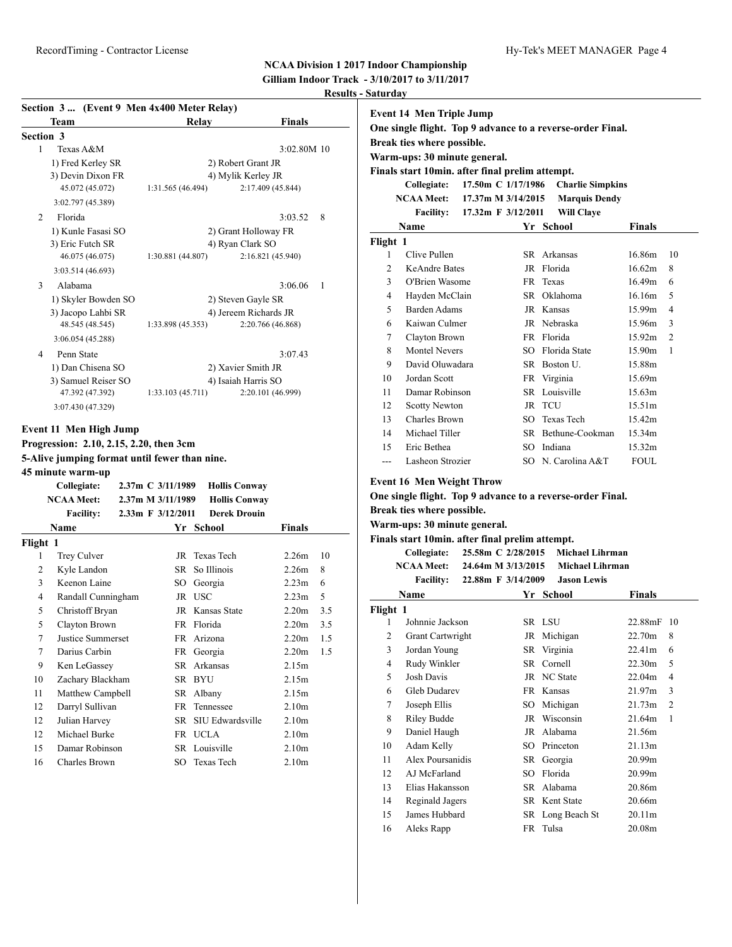**Gilliam Indoor Track - 3/10/2017 to 3/11/2017 Results - Saturday** 

|           | Section 3  (Event 9 Men 4x400 Meter Relay)    |  |                   |                      |                       |     |  |  |
|-----------|-----------------------------------------------|--|-------------------|----------------------|-----------------------|-----|--|--|
|           | Team                                          |  |                   | Relav                | Finals                |     |  |  |
| Section 3 |                                               |  |                   |                      |                       |     |  |  |
| 1         | Texas A&M                                     |  |                   |                      | 3:02.80M 10           |     |  |  |
|           | 1) Fred Kerley SR                             |  |                   |                      | 2) Robert Grant JR    |     |  |  |
|           | 3) Devin Dixon FR                             |  |                   |                      | 4) Mylik Kerley JR    |     |  |  |
|           | 45.072 (45.072)                               |  | 1:31.565 (46.494) |                      | 2:17.409 (45.844)     |     |  |  |
|           | 3:02.797 (45.389)                             |  |                   |                      |                       |     |  |  |
| 2         | Florida                                       |  |                   |                      | 3:03.52               | 8   |  |  |
|           | 1) Kunle Fasasi SO                            |  |                   |                      | 2) Grant Holloway FR  |     |  |  |
|           | 3) Eric Futch SR                              |  |                   | 4) Ryan Clark SO     |                       |     |  |  |
|           | 46.075 (46.075)                               |  | 1:30.881 (44.807) |                      | 2:16.821 (45.940)     |     |  |  |
|           | 3:03.514 (46.693)                             |  |                   |                      |                       |     |  |  |
| 3         | Alabama                                       |  |                   |                      | 3:06.06               | 1   |  |  |
|           | 1) Skyler Bowden SO                           |  |                   |                      | 2) Steven Gayle SR    |     |  |  |
|           | 3) Jacopo Lahbi SR                            |  |                   |                      | 4) Jereem Richards JR |     |  |  |
|           | 48.545 (48.545)                               |  | 1:33.898 (45.353) |                      | 2:20.766 (46.868)     |     |  |  |
|           | 3:06.054 (45.288)                             |  |                   |                      |                       |     |  |  |
| 4         | Penn State                                    |  |                   |                      | 3:07.43               |     |  |  |
|           | 1) Dan Chisena SO                             |  |                   |                      | 2) Xavier Smith JR    |     |  |  |
|           | 3) Samuel Reiser SO                           |  |                   |                      | 4) Isaiah Harris SO   |     |  |  |
|           | 47.392 (47.392)                               |  | 1:33.103(45.711)  |                      | 2:20.101 (46.999)     |     |  |  |
|           | 3:07.430 (47.329)                             |  |                   |                      |                       |     |  |  |
|           |                                               |  |                   |                      |                       |     |  |  |
|           | Event 11 Men High Jump                        |  |                   |                      |                       |     |  |  |
|           | Progression: 2.10, 2.15, 2.20, then 3cm       |  |                   |                      |                       |     |  |  |
|           | 5-Alive jumping format until fewer than nine. |  |                   |                      |                       |     |  |  |
|           | 45 minute warm-up                             |  |                   |                      |                       |     |  |  |
|           | Collegiate:                                   |  | 2.37m C 3/11/1989 | <b>Hollis Conway</b> |                       |     |  |  |
|           | <b>NCAA Meet:</b>                             |  | 2.37m M 3/11/1989 | <b>Hollis Conway</b> |                       |     |  |  |
|           | <b>Facility:</b>                              |  | 2.33m F 3/12/2011 | <b>Derek Drouin</b>  |                       |     |  |  |
|           | Name                                          |  |                   | Yr School            | Finals                |     |  |  |
| Flight 1  |                                               |  |                   |                      |                       |     |  |  |
| 1         | Trey Culver                                   |  |                   | JR Texas Tech        | 2.26m                 | 10  |  |  |
| 2         | Kyle Landon                                   |  |                   | SR So Illinois       | 2.26m                 | 8   |  |  |
| 3         | Keenon Laine                                  |  | SO                | Georgia              | 2.23 <sub>m</sub>     | 6   |  |  |
| 4         | Randall Cunningham                            |  |                   | JR USC               | 2.23 <sub>m</sub>     | 5   |  |  |
| 5         | Christoff Bryan                               |  |                   | JR Kansas State      | 2.20 <sub>m</sub>     | 3.5 |  |  |
| 5         | Clayton Brown                                 |  |                   | FR Florida           | 2.20 <sub>m</sub>     | 3.5 |  |  |
| 7         | Justice Summerset                             |  |                   | FR Arizona           | 2.20m                 | 1.5 |  |  |
| $\tau$    | Darius Carbin                                 |  | FR                | Georgia              | 2.20 <sub>m</sub>     | 1.5 |  |  |
| 9         | Ken LeGassey                                  |  | SR                | Arkansas             | 2.15m                 |     |  |  |
| 10        | Zachary Blackham                              |  |                   | SR BYU               | 2.15m                 |     |  |  |
| 11        | Matthew Campbell                              |  |                   | SR Albany            | 2.15m                 |     |  |  |
| 12        | Darryl Sullivan                               |  | FR                | Tennessee            | 2.10m                 |     |  |  |
| 12        | Julian Harvey                                 |  | SR                | SIU Edwardsville     | 2.10m                 |     |  |  |
| 12        | Michael Burke                                 |  |                   | FR UCLA              | 2.10m                 |     |  |  |

15 Damar Robinson SR Louisville 2.10m 16 Charles Brown SO Texas Tech 2.10m

| Saturday       |                                                            |                    |                                                           |               |                |  |  |  |  |
|----------------|------------------------------------------------------------|--------------------|-----------------------------------------------------------|---------------|----------------|--|--|--|--|
|                | <b>Event 14 Men Triple Jump</b>                            |                    |                                                           |               |                |  |  |  |  |
|                | One single flight. Top 9 advance to a reverse-order Final. |                    |                                                           |               |                |  |  |  |  |
|                | Break ties where possible.                                 |                    |                                                           |               |                |  |  |  |  |
|                | Warm-ups: 30 minute general.                               |                    |                                                           |               |                |  |  |  |  |
|                | Finals start 10min. after final prelim attempt.            |                    |                                                           |               |                |  |  |  |  |
|                | Collegiate:                                                | 17.50m C 1/17/1986 | <b>Charlie Simpkins</b>                                   |               |                |  |  |  |  |
|                | <b>NCAA Meet:</b>                                          | 17.37m M 3/14/2015 | <b>Marquis Dendy</b>                                      |               |                |  |  |  |  |
|                | <b>Facility:</b>                                           | 17.32m F 3/12/2011 | <b>Will Claye</b>                                         |               |                |  |  |  |  |
|                | Name                                                       |                    | Yr School                                                 | <b>Finals</b> |                |  |  |  |  |
| Flight 1       |                                                            |                    |                                                           |               |                |  |  |  |  |
| 1              | Clive Pullen                                               | SR.                | Arkansas                                                  | 16.86m        | 10             |  |  |  |  |
| 2              | <b>KeAndre Bates</b>                                       | JR                 | Florida                                                   | 16.62m        | 8              |  |  |  |  |
| 3              | O'Brien Wasome                                             | FR                 | Texas                                                     | 16.49m        | 6              |  |  |  |  |
| $\overline{4}$ | Hayden McClain                                             |                    | SR Oklahoma                                               | 16.16m        | 5              |  |  |  |  |
| 5              | <b>Barden Adams</b>                                        |                    | JR Kansas                                                 | 15.99m        | $\overline{4}$ |  |  |  |  |
| 6              | Kaiwan Culmer                                              |                    | JR Nebraska                                               | 15.96m        | 3              |  |  |  |  |
| 7              | Clayton Brown                                              |                    | FR Florida                                                | 15.92m        | $\overline{2}$ |  |  |  |  |
| 8              | <b>Montel Nevers</b>                                       | SO.                | Florida State                                             | 15.90m        | 1              |  |  |  |  |
| 9              | David Oluwadara                                            |                    | SR Boston U.                                              | 15.88m        |                |  |  |  |  |
| 10             | Jordan Scott                                               |                    | FR Virginia                                               | 15.69m        |                |  |  |  |  |
| 11             | Damar Robinson                                             |                    | SR Louisville                                             | 15.63m        |                |  |  |  |  |
| 12             | <b>Scotty Newton</b>                                       |                    | JR TCU                                                    | 15.51m        |                |  |  |  |  |
| 13             | Charles Brown                                              | SO.                | <b>Texas Tech</b>                                         | 15.42m        |                |  |  |  |  |
| 14             | Michael Tiller                                             |                    | SR Bethune-Cookman                                        | 15.34m        |                |  |  |  |  |
| 15             | Eric Bethea                                                |                    | SO Indiana                                                | 15.32m        |                |  |  |  |  |
| ---            | Lasheon Strozier                                           |                    | SO N. Carolina A&T                                        | FOUL.         |                |  |  |  |  |
|                | <b>Event 16 Men Weight Throw</b>                           |                    |                                                           |               |                |  |  |  |  |
|                |                                                            |                    | One single flight. Top Q advance to a reverse order Final |               |                |  |  |  |  |

#### **One single flight. Top 9 advance to a reverse-order Final.**

**Break ties where possible.**

**Warm-ups: 30 minute general.**

**Finals start 10min. after final prelim attempt.**

| Collegiate:       | 25.58m C 2/28/2015 | Michael Lihrman    |
|-------------------|--------------------|--------------------|
| <b>NCAA Meet:</b> | 24.64m M 3/13/2015 | Michael Lihrman    |
| <b>Facility:</b>  | 22.88m F 3/14/2009 | <b>Jason Lewis</b> |

| <br>22,00,00,10,00,000<br><b>UMPON TIONED</b> |                         |     |                  |         |                |  |
|-----------------------------------------------|-------------------------|-----|------------------|---------|----------------|--|
|                                               | Name                    | Yr  | School           | Finals  |                |  |
| Flight 1                                      |                         |     |                  |         |                |  |
| 1                                             | Johnnie Jackson         |     | SR LSU           | 22.88mF | -10            |  |
| 2                                             | <b>Grant Cartwright</b> |     | JR Michigan      | 22.70m  | 8              |  |
| 3                                             | Jordan Young            |     | SR Virginia      | 22.41m  | 6              |  |
| 4                                             | Rudy Winkler            | SR  | Cornell          | 22.30m  | 5              |  |
| 5                                             | <b>Josh Davis</b>       |     | JR NC State      | 22.04m  | 4              |  |
| 6                                             | Gleb Dudarev            | FR  | Kansas           | 21.97m  | 3              |  |
| 7                                             | Joseph Ellis            | SO  | Michigan         | 21.73m  | $\overline{c}$ |  |
| 8                                             | Riley Budde             | JR  | Wisconsin        | 21.64m  | 1              |  |
| 9                                             | Daniel Haugh            | JR  | Alabama          | 21.56m  |                |  |
| 10                                            | Adam Kelly              | SO. | Princeton        | 21.13m  |                |  |
| 11                                            | Alex Poursanidis        |     | SR Georgia       | 20.99m  |                |  |
| 12                                            | AJ McFarland            | SO. | Florida          | 20.99m  |                |  |
| 13                                            | Elias Hakansson         |     | SR Alabama       | 20.86m  |                |  |
| 14                                            | Reginald Jagers         |     | SR Kent State    | 20.66m  |                |  |
| 15                                            | James Hubbard           |     | SR Long Beach St | 20.11m  |                |  |
| 16                                            | Aleks Rapp              |     | FR Tulsa         | 20.08m  |                |  |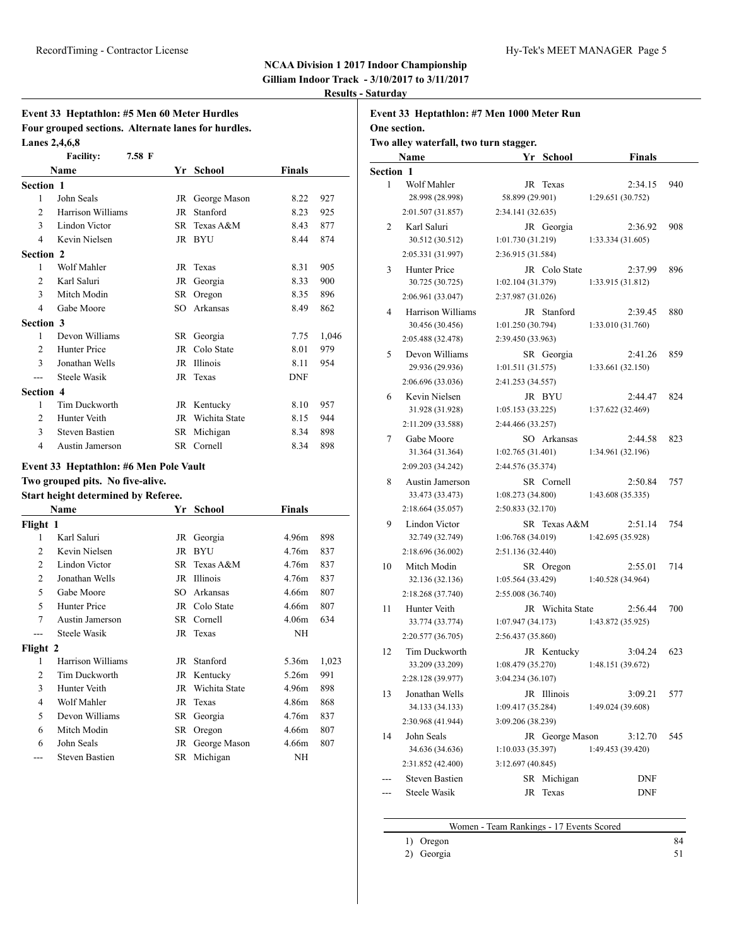**Gilliam Indoor Track - 3/10/2017 to 3/11/2017**

**Event 33 Heptathlon: #7 Men 1000 Meter Run**

**Results - Saturday**

### **Event 33 Heptathlon: #5 Men 60 Meter Hurdles Four grouped sections. Alternate lanes for hurdles. Lanes 2,4,6,8**

|                  | <b>Facility:</b>       | 7.58 F |                 |            |       |
|------------------|------------------------|--------|-----------------|------------|-------|
|                  | Name                   |        | Yr School       | Finals     |       |
| <b>Section 1</b> |                        |        |                 |            |       |
| 1                | John Seals             |        | JR George Mason | 8.22       | 927   |
| 2                | Harrison Williams      | JR     | Stanford        | 8.23       | 925   |
| 3                | Lindon Victor          | SR.    | Texas A&M       | 8.43       | 877   |
| 4                | Kevin Nielsen          |        | JR BYU          | 8.44       | 874   |
| Section 2        |                        |        |                 |            |       |
| 1                | Wolf Mahler            | JR     | Texas           | 8.31       | 905   |
| 2                | Karl Saluri            | JR     | Georgia         | 8.33       | 900   |
| 3                | Mitch Modin            | SR     | Oregon          | 8.35       | 896   |
| 4                | Gabe Moore             | SO.    | Arkansas        | 8.49       | 862   |
| <b>Section 3</b> |                        |        |                 |            |       |
| 1                | Devon Williams         |        | SR Georgia      | 7.75       | 1,046 |
| 2                | Hunter Price           | JR     | Colo State      | 8.01       | 979   |
| 3                | Jonathan Wells         | JR     | <b>Illinois</b> | 8.11       | 954   |
| ---              | Steele Wasik           | JR     | Texas           | <b>DNF</b> |       |
| Section 4        |                        |        |                 |            |       |
| 1                | <b>Tim Duckworth</b>   | JR     | Kentucky        | 8.10       | 957   |
| $\mathfrak{D}$   | Hunter Veith           | JR     | Wichita State   | 8.15       | 944   |
| 3                | <b>Steven Bastien</b>  | SR     | Michigan        | 8.34       | 898   |
| 4                | <b>Austin Jamerson</b> |        | SR Cornell      | 8.34       | 898   |

#### **Event 33 Heptathlon: #6 Men Pole Vault**

### **Two grouped pits. No five-alive.**

#### **Start height determined by Referee.**

| Name           |                       |    | Yr School     | Finals            |       |
|----------------|-----------------------|----|---------------|-------------------|-------|
| Flight 1       |                       |    |               |                   |       |
| 1              | Karl Saluri           |    | JR Georgia    | 4.96m             | 898   |
| 2              | Kevin Nielsen         |    | JR BYU        | 4.76m             | 837   |
| $\overline{2}$ | Lindon Victor         |    | SR Texas A&M  | 4.76m             | 837   |
| $\overline{2}$ | Jonathan Wells        | JR | Illinois      | 4.76m             | 837   |
| 5              | Gabe Moore            | SO | Arkansas      | 4.66m             | 807   |
| 5              | Hunter Price          |    | JR Colo State | 4.66m             | 807   |
| 7              | Austin Jamerson       | SR | Cornell       | 4.06 <sub>m</sub> | 634   |
|                | Steele Wasik          |    | JR Texas      | NH                |       |
| Flight 2       |                       |    |               |                   |       |
| 1              | Harrison Williams     |    | JR Stanford   | 5.36m             | 1,023 |
| 2              | <b>Tim Duckworth</b>  |    | JR Kentucky   | 5.26m             | 991   |
| 3              | Hunter Veith          | JR | Wichita State | 4.96m             | 898   |
| 4              | Wolf Mahler           |    | JR Texas      | 4.86m             | 868   |
| 5              | Devon Williams        |    | SR Georgia    | 4.76m             | 837   |
| 6              | Mitch Modin           | SR | Oregon        | 4.66m             | 807   |
| 6              | John Seals            | JR | George Mason  | 4.66m             | 807   |
|                | <b>Steven Bastien</b> |    | SR Michigan   | NH                |       |

| One section.     |                                        |                   |                  |                   |     |
|------------------|----------------------------------------|-------------------|------------------|-------------------|-----|
|                  | Two alley waterfall, two turn stagger. |                   |                  |                   |     |
|                  | Name                                   |                   | Yr School        | Finals            |     |
| <b>Section 1</b> |                                        |                   |                  |                   |     |
| 1                | Wolf Mahler                            | JR                | Texas            | 2:34.15           | 940 |
|                  | 28.998 (28.998)                        | 58.899 (29.901)   |                  | 1:29.651 (30.752) |     |
|                  | 2:01.507 (31.857)                      | 2:34.141 (32.635) |                  |                   |     |
| 2                | Karl Saluri                            |                   | JR Georgia       | 2:36.92           | 908 |
|                  | 30.512 (30.512)                        | 1:01.730 (31.219) |                  | 1:33.334 (31.605) |     |
|                  | 2:05.331 (31.997)                      | 2:36.915 (31.584) |                  |                   |     |
| 3                | Hunter Price                           |                   | JR Colo State    | 2:37.99           | 896 |
|                  | 30.725 (30.725)                        | 1:02.104(31.379)  |                  | 1:33.915 (31.812) |     |
|                  | 2:06.961 (33.047)                      | 2:37.987 (31.026) |                  |                   |     |
| 4                | Harrison Williams                      |                   | JR Stanford      | 2:39.45           | 880 |
|                  | 30.456 (30.456)                        | 1:01.250 (30.794) |                  | 1:33.010 (31.760) |     |
|                  | 2:05.488 (32.478)                      | 2:39.450 (33.963) |                  |                   |     |
| 5                | Devon Williams                         |                   | SR Georgia       | 2:41.26           | 859 |
|                  | 29.936 (29.936)                        | 1:01.511(31.575)  |                  | 1:33.661 (32.150) |     |
|                  | 2:06.696 (33.036)                      | 2:41.253 (34.557) |                  |                   |     |
| 6                | Kevin Nielsen                          |                   | JR BYU           | 2:44.47           | 824 |
|                  | 31.928 (31.928)                        | 1:05.153(33.225)  |                  | 1:37.622 (32.469) |     |
|                  | 2:11.209 (33.588)                      | 2:44.466 (33.257) |                  |                   |     |
| 7                | Gabe Moore                             |                   | SO Arkansas      | 2:44.58           | 823 |
|                  | 31.364 (31.364)                        | 1:02.765(31.401)  |                  | 1:34.961 (32.196) |     |
|                  | 2:09.203 (34.242)                      | 2:44.576 (35.374) |                  |                   |     |
| 8                | Austin Jamerson                        |                   | SR Cornell       | 2:50.84           | 757 |
|                  | 33.473 (33.473)                        | 1:08.273 (34.800) |                  | 1:43.608(35.335)  |     |
|                  | 2:18.664 (35.057)                      | 2:50.833 (32.170) |                  |                   |     |
| 9                | Lindon Victor                          |                   | SR Texas A&M     | 2:51.14           | 754 |
|                  | 32.749 (32.749)                        | 1:06.768 (34.019) |                  | 1:42.695 (35.928) |     |
|                  | 2:18.696 (36.002)                      | 2:51.136 (32.440) |                  |                   |     |
| 10               | Mitch Modin                            |                   | SR Oregon        | 2:55.01           | 714 |
|                  | 32.136 (32.136)                        | 1:05.564 (33.429) |                  | 1:40.528 (34.964) |     |
|                  | 2:18.268 (37.740)                      | 2:55.008 (36.740) |                  |                   |     |
| 11               | Hunter Veith                           |                   | JR Wichita State | 2:56.44           | 700 |
|                  | 33.774 (33.774)                        | 1:07.947(34.173)  |                  | 1:43.872 (35.925) |     |
|                  | 2:20.577 (36.705)                      | 2:56.437 (35.860) |                  |                   |     |
| 12               | Tim Duckworth                          |                   | JR Kentucky      | 3:04.24           | 623 |
|                  | 33.209 (33.209)                        | 1:08.479 (35.270) |                  | 1:48.151 (39.672) |     |
|                  | 2:28.128 (39.977)                      | 3:04.234 (36.107) |                  |                   |     |
| 13               | Jonathan Wells                         |                   | JR Illinois      | 3:09.21           | 577 |
|                  | 34.133 (34.133)                        | 1:09.417 (35.284) |                  | 1:49.024 (39.608) |     |
|                  | 2:30.968 (41.944)                      | 3:09.206 (38.239) |                  |                   |     |
| 14               | John Seals                             |                   | JR George Mason  | 3:12.70           | 545 |
|                  | 34.636 (34.636)                        | 1:10.033(35.397)  |                  | 1:49.453 (39.420) |     |
|                  | 2:31.852 (42.400)                      | 3:12.697 (40.845) |                  |                   |     |
|                  | <b>Steven Bastien</b>                  |                   | SR Michigan      | DNF               |     |
|                  | Steele Wasik                           |                   | JR Texas         | DNF               |     |
|                  |                                        |                   |                  |                   |     |

## Women - Team Rankings - 17 Events Scored

- 1) Oregon 84
	- 2) Georgia 51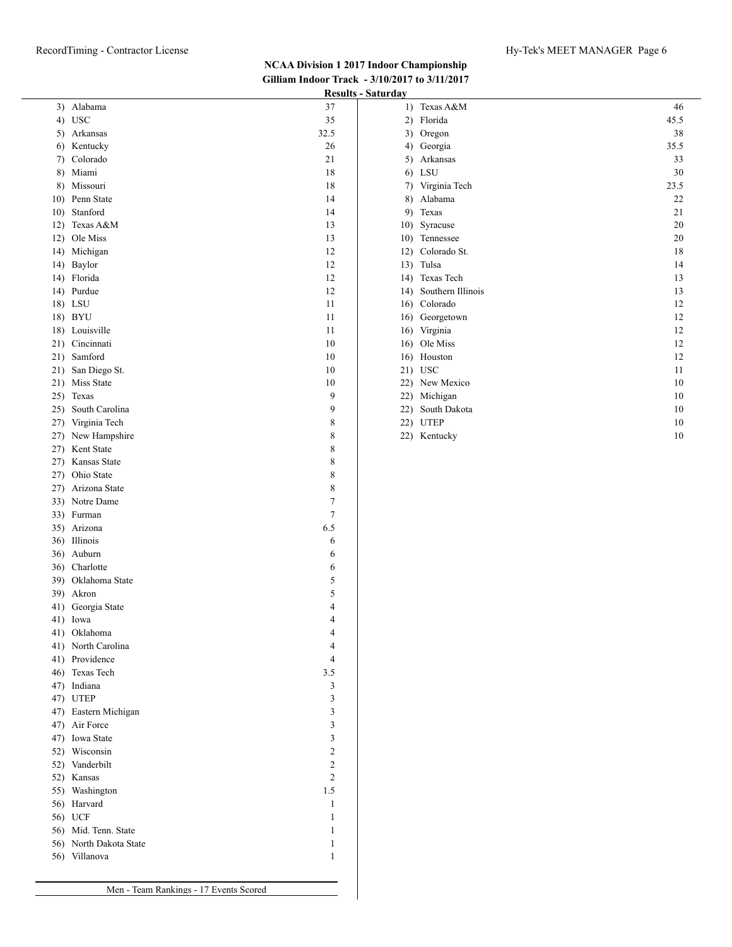# **NCAA Division 1 2017 Indoor Championship Gilliam Indoor Track - 3/10/2017 to 3/11/2017**

|                                        |                | <b>Results - Saturday</b> |                          |
|----------------------------------------|----------------|---------------------------|--------------------------|
| 3) Alabama                             | 37             |                           | 1) Texas A&M             |
| 4) USC                                 | 35             |                           | 2) Florida               |
| 5) Arkansas                            | 32.5           |                           | 3) Oregon                |
| 6) Kentucky                            | 26             |                           | 4) Georgia               |
| 7) Colorado                            | 21             |                           | 5) Arkansas              |
| 8) Miami<br>8) Missouri                | 18             |                           | $6)$ LSU                 |
| 10) Penn State                         | 18<br>14       | 7)<br>8)                  | Virginia Tech<br>Alabama |
| 10) Stanford                           | 14             |                           | 9) Texas                 |
| 12) Texas A&M                          | 13             |                           | 10) Syracuse             |
| 12) Ole Miss                           | 13             |                           | 10) Tennessee            |
| 14) Michigan                           | 12             |                           | 12) Colorado St.         |
| 14) Baylor                             | 12             |                           | 13) Tulsa                |
| 14) Florida                            | 12             |                           | 14) Texas Tech           |
| 14) Purdue                             | 12             |                           | 14) Southern Illin       |
| 18) LSU                                | 11             |                           | 16) Colorado             |
| 18) BYU                                | 11             |                           | 16) Georgetown           |
| 18) Louisville                         | 11             |                           | 16) Virginia             |
| 21) Cincinnati                         | 10             |                           | 16) Ole Miss             |
| 21) Samford                            | 10             |                           | 16) Houston              |
| 21) San Diego St.                      | 10             |                           | 21) USC                  |
| 21) Miss State                         | 10             |                           | 22) New Mexico           |
| 25) Texas                              | 9              |                           | 22) Michigan             |
| 25) South Carolina                     | 9              |                           | 22) South Dakota         |
| 27) Virginia Tech                      | 8              |                           | 22) UTEP                 |
| 27) New Hampshire<br>27) Kent State    | 8<br>8         |                           | 22) Kentucky             |
| 27) Kansas State                       | $\,$ 8 $\,$    |                           |                          |
| 27) Ohio State                         | 8              |                           |                          |
| 27) Arizona State                      | $\,$ $\,$      |                           |                          |
| 33) Notre Dame                         | $\tau$         |                           |                          |
| 33) Furman                             | 7              |                           |                          |
| 35) Arizona                            | 6.5            |                           |                          |
| 36) Illinois                           | 6              |                           |                          |
| 36) Auburn                             | 6              |                           |                          |
| 36) Charlotte                          | 6              |                           |                          |
| 39) Oklahoma State                     | 5              |                           |                          |
| 39) Akron                              | 5              |                           |                          |
| 41) Georgia State                      | 4              |                           |                          |
| 41) Iowa                               | 4              |                           |                          |
| 41) Oklahoma                           | 4              |                           |                          |
| 41) North Carolina                     | 4              |                           |                          |
| 41) Providence<br>46) Texas Tech       | 4<br>3.5       |                           |                          |
| 47) Indiana                            | 3              |                           |                          |
| 47) UTEP                               | 3              |                           |                          |
| 47) Eastern Michigan                   | 3              |                           |                          |
| 47) Air Force                          | 3              |                           |                          |
| 47) Iowa State                         | $\mathfrak{Z}$ |                           |                          |
| 52) Wisconsin                          | 2              |                           |                          |
| 52) Vanderbilt                         | $\overline{2}$ |                           |                          |
| 52) Kansas                             | $\overline{2}$ |                           |                          |
| 55) Washington                         | 1.5            |                           |                          |
| 56) Harvard                            | $\mathbf{1}$   |                           |                          |
| 56) UCF                                | 1              |                           |                          |
| 56) Mid. Tenn. State                   | $\mathbf{1}$   |                           |                          |
| 56) North Dakota State                 | $\mathbf{1}$   |                           |                          |
| 56) Villanova                          | $\mathbf{1}$   |                           |                          |
|                                        |                |                           |                          |
| Men - Team Rankings - 17 Events Scored |                |                           |                          |
|                                        |                |                           |                          |

| la y         |                   |      |
|--------------|-------------------|------|
| 1)           | Texas A&M         | 46   |
| $\mathbf{2}$ | Florida           | 45.5 |
| 3)           | Oregon            | 38   |
| 4)           | Georgia           | 35.5 |
| 5)           | Arkansas          | 33   |
| 6)           | LSU               | 30   |
| 7)           | Virginia Tech     | 23.5 |
| 8)           | Alabama           | 22   |
| 9)           | Texas             | 21   |
| 10)          | Syracuse          | 20   |
| 10)          | Tennessee         | 20   |
| 12)          | Colorado St.      | 18   |
| 13)          | Tulsa             | 14   |
| 14)          | Texas Tech        | 13   |
| 14)          | Southern Illinois | 13   |
| 16)          | Colorado          | 12   |
| 16)          | Georgetown        | 12   |
| 16)          | Virginia          | 12   |
| 16)          | Ole Miss          | 12   |
| 16)          | Houston           | 12   |
| 21)          | <b>USC</b>        | 11   |
| 22)          | New Mexico        | 10   |
| 22)          | Michigan          | 10   |
| 22)          | South Dakota      | 10   |
| 22)          | <b>UTEP</b>       | 10   |
| 22)          | Kentucky          | 10   |
|              |                   |      |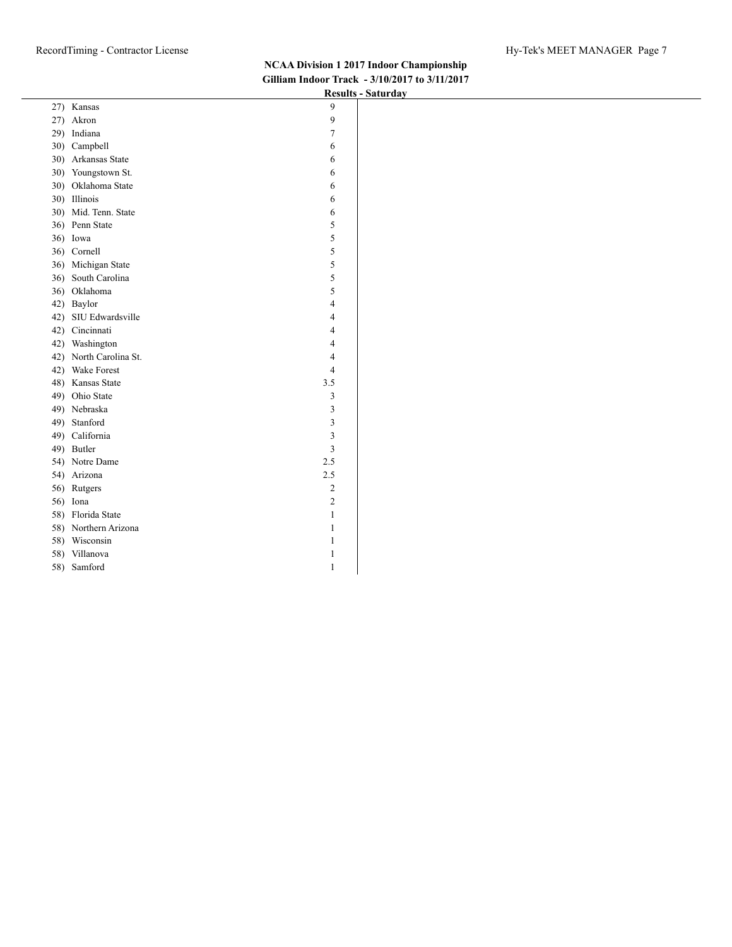|     |                      |                  | $   -$ |
|-----|----------------------|------------------|--------|
|     | 27) Kansas           | 9                |        |
| 27) | Akron                | 9                |        |
| 29) | Indiana              | $\boldsymbol{7}$ |        |
|     | 30) Campbell         | 6                |        |
|     | 30) Arkansas State   | 6                |        |
|     | 30) Youngstown St.   | 6                |        |
|     | 30) Oklahoma State   | 6                |        |
|     | 30) Illinois         | 6                |        |
|     | 30) Mid. Tenn. State | 6                |        |
| 36) | Penn State           | 5                |        |
| 36) | Iowa                 | $\sqrt{5}$       |        |
| 36) | Cornell              | 5                |        |
| 36) | Michigan State       | 5                |        |
| 36) | South Carolina       | $\sqrt{5}$       |        |
| 36) | Oklahoma             | 5                |        |
| 42) | Baylor               | $\overline{4}$   |        |
| 42) | SIU Edwardsville     | $\overline{4}$   |        |
| 42) | Cincinnati           | $\overline{4}$   |        |
| 42) | Washington           | $\overline{4}$   |        |
| 42) | North Carolina St.   | $\overline{4}$   |        |
| 42) | Wake Forest          | $\overline{4}$   |        |
| 48) | Kansas State         | 3.5              |        |
| 49) | Ohio State           | $\mathfrak z$    |        |
| 49) | Nebraska             | $\mathfrak z$    |        |
| 49) | Stanford             | 3                |        |
| 49) | California           | $\mathfrak z$    |        |
| 49) | Butler               | 3                |        |
|     | 54) Notre Dame       | 2.5              |        |
| 54) | Arizona              | 2.5              |        |
| 56) | Rutgers              | $\sqrt{2}$       |        |
| 56) | Iona                 | $\sqrt{2}$       |        |
| 58) | Florida State        | $\mathbf{1}$     |        |
| 58) | Northern Arizona     | $\mathbf{1}$     |        |
|     | 58) Wisconsin        | $\mathbf{1}$     |        |
| 58) | Villanova            | $\mathbf{1}$     |        |
|     | 58) Samford          | $\mathbf{1}$     |        |
|     |                      |                  |        |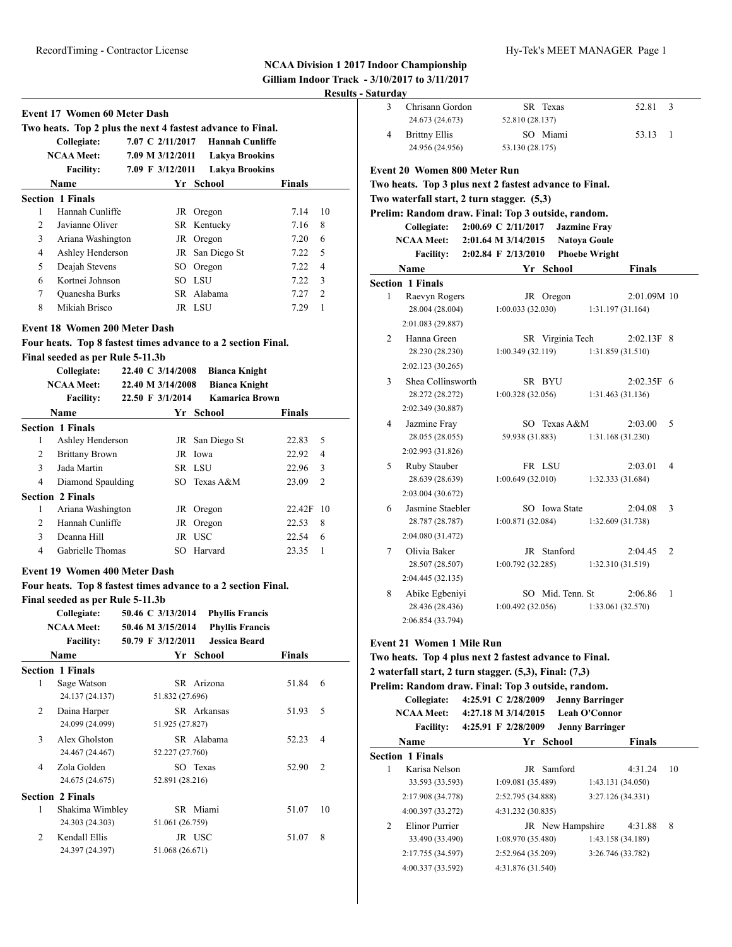| Event 17 Women 60 Meter Dash |                                                            |  |                  |                        |               |               |
|------------------------------|------------------------------------------------------------|--|------------------|------------------------|---------------|---------------|
|                              | Two heats. Top 2 plus the next 4 fastest advance to Final. |  |                  |                        |               |               |
|                              | Collegiate:                                                |  | 7.07 C 2/11/2017 | <b>Hannah Cunliffe</b> |               |               |
|                              | <b>NCAA Meet:</b>                                          |  | 7.09 M 3/12/2011 | <b>Lakya Brookins</b>  |               |               |
|                              | <b>Facility:</b>                                           |  | 7.09 F 3/12/2011 | <b>Lakya Brookins</b>  |               |               |
|                              | Name                                                       |  | Yr -             | School                 | <b>Finals</b> |               |
|                              | <b>Section 1 Finals</b>                                    |  |                  |                        |               |               |
| 1                            | Hannah Cunliffe                                            |  | JR               | Oregon                 | 7.14          | 10            |
| $\overline{2}$               | Javianne Oliver                                            |  |                  | SR Kentucky            | 7.16          | 8             |
| 3                            | Ariana Washington                                          |  | JR               | Oregon                 | 7.20          | 6             |
| 4                            | Ashley Henderson                                           |  |                  | JR San Diego St        | 7.22          | .5            |
| 5                            | Deajah Stevens                                             |  | SO.              | Oregon                 | 7.22          | 4             |
| 6                            | Kortnei Johnson                                            |  |                  | SO LSU                 | 7.22          | 3             |
| 7                            | Quanesha Burks                                             |  |                  | SR Alabama             | 7.27          | $\mathcal{L}$ |
| 8                            | Mikiah Brisco                                              |  |                  | JR LSU                 | 7.29          |               |

#### **Event 18 Women 200 Meter Dash**

### **Four heats. Top 8 fastest times advance to a 2 section Final.**

**Final seeded as per Rule 5-11.3b**

|   | Collegiate:<br><b>NCAA Meet:</b> | 22.40 C 3/14/2008<br>22.40 M 3/14/2008 | <b>Bianca Knight</b><br><b>Bianca Knight</b> |               |     |
|---|----------------------------------|----------------------------------------|----------------------------------------------|---------------|-----|
|   | <b>Facility:</b>                 | 22.50 F 3/1/2014                       | Kamarica Brown                               |               |     |
|   | Name                             |                                        | Yr School                                    | <b>Finals</b> |     |
|   | <b>Section 1 Finals</b>          |                                        |                                              |               |     |
| 1 | Ashley Henderson                 | JR                                     | San Diego St                                 | 22.83         | 5   |
| 2 | <b>Brittany Brown</b>            | JR                                     | Iowa                                         | 22.92         | 4   |
| 3 | Jada Martin                      |                                        | SR LSU                                       | 22.96         | 3   |
| 4 | Diamond Spaulding                |                                        | SO Texas A&M                                 | 23.09         | 2   |
|   | <b>Section 2 Finals</b>          |                                        |                                              |               |     |
| 1 | Ariana Washington                | JR                                     | Oregon                                       | 22.42F        | -10 |
| 2 | Hannah Cunliffe                  | JR                                     | Oregon                                       | 22.53         | 8   |
| 3 | Deanna Hill                      | JR                                     | <b>USC</b>                                   | 22.54         | 6   |
| 4 | Gabrielle Thomas                 | SO                                     | Harvard                                      | 23.35         | 1   |

#### **Event 19 Women 400 Meter Dash**

#### **Four heats. Top 8 fastest times advance to a 2 section Final.**

**Final seeded as per Rule 5-11.3b**

| Collegiate:       | 50.46 C 3/13/2014 | <b>Phyllis Francis</b> |
|-------------------|-------------------|------------------------|
| <b>NCAA Meet:</b> | 50.46 M 3/15/2014 | <b>Phyllis Francis</b> |
| <b>Facility:</b>  | 50.79 F 3/12/2011 | <b>Jessica Beard</b>   |

|                             | <b>Name</b>             |                 | Yr School   | <b>Finals</b> |                |
|-----------------------------|-------------------------|-----------------|-------------|---------------|----------------|
|                             | <b>Section 1 Finals</b> |                 |             |               |                |
| 1                           | Sage Watson             |                 | SR Arizona  | 51.84         | 6              |
|                             | 24.137 (24.137)         | 51.832 (27.696) |             |               |                |
| 2                           | Daina Harper            |                 | SR Arkansas | 51.93         | .5             |
|                             | 24.099 (24.099)         | 51.925 (27.827) |             |               |                |
| 3                           | Alex Gholston           |                 | SR Alabama  | 52.23         | $\overline{4}$ |
|                             | 24.467 (24.467)         | 52.227 (27.760) |             |               |                |
| 4                           | Zola Golden             |                 | SO Texas    | 52.90         | 2              |
|                             | 24.675 (24.675)         | 52.891 (28.216) |             |               |                |
|                             | <b>Section 2 Finals</b> |                 |             |               |                |
| 1                           | Shakima Wimbley         |                 | SR Miami    | 51.07         | 10             |
|                             | 24.303 (24.303)         | 51.061 (26.759) |             |               |                |
| $\mathcal{D}_{\mathcal{L}}$ | Kendall Ellis           |                 | JR USC      | 51.07         | 8              |
|                             | 24.397 (24.397)         | 51.068 (26.671) |             |               |                |
|                             |                         |                 |             |               |                |

| aturday |                                            |                                                        |                |
|---------|--------------------------------------------|--------------------------------------------------------|----------------|
| 3       | Chrisann Gordon                            | SR Texas<br>52.81                                      | 3              |
|         | 24.673 (24.673)                            | 52.810 (28.137)                                        |                |
| 4       | <b>Brittny Ellis</b>                       | SO Miami<br>53.13                                      | 1              |
|         | 24.956 (24.956)                            | 53.130 (28.175)                                        |                |
|         | Event 20 Women 800 Meter Run               |                                                        |                |
|         |                                            | Two heats. Top 3 plus next 2 fastest advance to Final. |                |
|         | Two waterfall start, 2 turn stagger. (5,3) |                                                        |                |
|         |                                            | Prelim: Random draw. Final: Top 3 outside, random.     |                |
|         | Collegiate:                                | 2:00.69 C 2/11/2017<br><b>Jazmine Fray</b>             |                |
|         | <b>NCAA Meet:</b>                          | <b>Natoya Goule</b><br>2:01.64 M 3/14/2015             |                |
|         | <b>Facility:</b>                           | 2:02.84 F 2/13/2010<br><b>Phoebe Wright</b>            |                |
|         | Name                                       | Yr School<br><b>Finals</b>                             |                |
|         | <b>Section 1 Finals</b>                    |                                                        |                |
| 1       | Raevyn Rogers                              | JR Oregon<br>2:01.09M 10                               |                |
|         | 28.004 (28.004)                            | 1:00.033(32.030)<br>1:31.197 (31.164)                  |                |
|         | 2:01.083 (29.887)                          |                                                        |                |
| 2       | Hanna Green                                | SR Virginia Tech<br>2:02.13F                           | - 8            |
|         | 28.230 (28.230)                            | 1:00.349 (32.119)<br>1:31.859 (31.510)                 |                |
|         | 2:02.123 (30.265)                          |                                                        |                |
| 3       | Shea Collinsworth                          | SR BYU<br>$2:02.35F$ 6                                 |                |
|         | 28.272 (28.272)                            | 1:00.328(32.056)<br>1:31.463 (31.136)                  |                |
|         | 2:02.349 (30.887)                          |                                                        |                |
| 4       | Jazmine Fray                               | SO Texas A&M<br>2:03.00                                | 5              |
|         | 28.055 (28.055)                            | 59.938 (31.883)<br>1:31.168 (31.230)                   |                |
|         | 2:02.993 (31.826)                          |                                                        |                |
| 5       | Ruby Stauber                               | FR LSU<br>2:03.01                                      | 4              |
|         | 28.639 (28.639)                            | 1:00.649(32.010)<br>1:32.333 (31.684)                  |                |
|         | 2:03.004 (30.672)                          |                                                        |                |
| 6       | Jasmine Staebler                           | SO Iowa State<br>2:04.08                               | 3              |
|         | 28.787 (28.787)                            | 1:00.871 (32.084)<br>1:32.609 (31.738)                 |                |
|         | 2:04.080 (31.472)                          |                                                        |                |
| 7       | Olivia Baker                               | JR Stanford<br>2:04.45                                 | $\overline{2}$ |
|         | 28.507 (28.507)                            | 1:00.792(32.285)<br>1:32.310 (31.519)                  |                |
|         | 2:04.445 (32.135)                          |                                                        |                |
| 8       | Abike Egbeniyi                             | SO Mid. Tenn. St<br>2:06.86                            | 1              |
|         | 28.436 (28.436)                            | 1:00.492(32.056)<br>1:33.061 (32.570)                  |                |
|         | 2:06.854 (33.794)                          |                                                        |                |
|         | Event 21 Women 1 Mile Run                  |                                                        |                |
|         |                                            | Two heats. Top 4 plus next 2 fector advance to Final   |                |

#### **Two heats. Top 4 plus next 2 fastest advance to Final. 2 waterfall start, 2 turn stagger. (5,3), Final: (7,3) Prelim: Random draw. Final: Top 3 outside, random. Collegiate: 4:25.91 C 2/28/2009 Jenny Barringer**

**NCAA Meet: 4:27.18 M 3/14/2015 Leah O'Connor**

|                | <b>Facility:</b>        | 4:25.91 F 2/28/2009 |                   | <b>Jenny Barringer</b> |                   |    |
|----------------|-------------------------|---------------------|-------------------|------------------------|-------------------|----|
|                | Name                    |                     | Yr School         |                        | <b>Finals</b>     |    |
|                | <b>Section 1 Finals</b> |                     |                   |                        |                   |    |
| 1              | Karisa Nelson           |                     | <b>JR</b> Samford |                        | 4:31.24           | 10 |
|                | 33.593 (33.593)         | 1:09.081(35.489)    |                   |                        | 1:43.131 (34.050) |    |
|                | 2:17.908 (34.778)       | 2:52.795 (34.888)   |                   | 3:27.126 (34.331)      |                   |    |
|                | 4:00.397 (33.272)       | 4:31.232 (30.835)   |                   |                        |                   |    |
| $\mathfrak{D}$ | Elinor Purrier          |                     | JR New Hampshire  |                        | 4:31.88           | 8  |
|                | 33.490 (33.490)         | 1:08.970(35.480)    |                   |                        | 1:43.158 (34.189) |    |
|                | 2:17.755 (34.597)       | 2:52.964 (35.209)   |                   | 3:26.746 (33.782)      |                   |    |
|                | 4:00.337 (33.592)       | 4:31.876 (31.540)   |                   |                        |                   |    |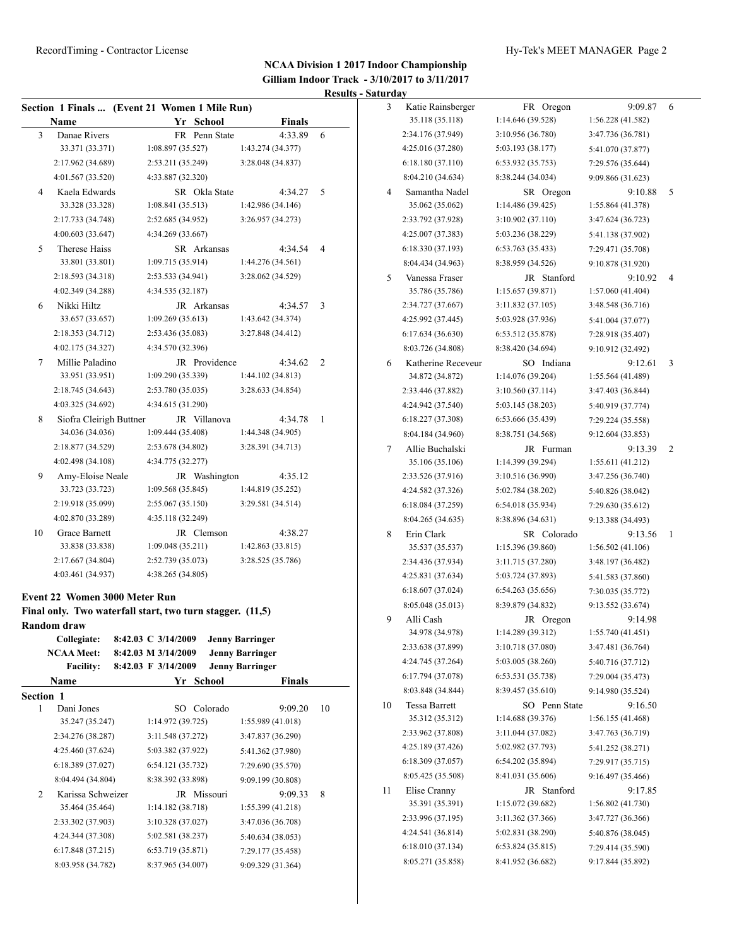|           | Name                                                                                           | Section 1 Finals  (Event 21 Women 1 Mile Run)<br>Yr School                                              | <b>Finals</b>                                    |    |
|-----------|------------------------------------------------------------------------------------------------|---------------------------------------------------------------------------------------------------------|--------------------------------------------------|----|
| 3         | Danae Rivers                                                                                   | FR Penn State                                                                                           | 4:33.89                                          | 6  |
|           | 33.371 (33.371)                                                                                | 1:08.897 (35.527)                                                                                       | 1:43.274 (34.377)                                |    |
|           | 2:17.962 (34.689)                                                                              | 2:53.211 (35.249)                                                                                       | 3:28.048 (34.837)                                |    |
|           | 4:01.567 (33.520)                                                                              | 4:33.887 (32.320)                                                                                       |                                                  |    |
| 4         | Kaela Edwards                                                                                  | SR Okla State                                                                                           | 4:34.27                                          | 5  |
|           | 33.328 (33.328)                                                                                | 1:08.841(35.513)                                                                                        | 1:42.986 (34.146)                                |    |
|           | 2:17.733 (34.748)                                                                              | 2:52.685 (34.952)                                                                                       | 3:26.957 (34.273)                                |    |
|           | 4:00.603 (33.647)                                                                              | 4:34.269 (33.667)                                                                                       |                                                  |    |
| 5         | Therese Haiss                                                                                  | SR Arkansas                                                                                             | 4:34.54                                          | 4  |
|           | 33.801 (33.801)                                                                                | 1:09.715 (35.914)                                                                                       | 1:44.276 (34.561)                                |    |
|           | 2:18.593 (34.318)                                                                              | 2:53.533 (34.941)                                                                                       | 3:28.062 (34.529)                                |    |
|           | 4:02.349 (34.288)                                                                              | 4:34.535 (32.187)                                                                                       |                                                  |    |
| 6         | Nikki Hiltz                                                                                    | JR Arkansas                                                                                             | 4:34.57                                          | 3  |
|           | 33.657 (33.657)                                                                                | 1:09.269(35.613)                                                                                        | 1:43.642 (34.374)                                |    |
|           | 2:18.353 (34.712)                                                                              | 2:53.436 (35.083)                                                                                       | 3:27.848 (34.412)                                |    |
|           | 4:02.175 (34.327)                                                                              | 4:34.570 (32.396)                                                                                       |                                                  |    |
| 7         |                                                                                                | JR Providence                                                                                           |                                                  | 2  |
|           | Millie Paladino<br>33.951 (33.951)                                                             | 1:09.290(35.339)                                                                                        | 4:34.62<br>1:44.102(34.813)                      |    |
|           |                                                                                                |                                                                                                         | 3:28.633 (34.854)                                |    |
|           | 2:18.745 (34.643)<br>4:03.325 (34.692)                                                         | 2:53.780 (35.035)                                                                                       |                                                  |    |
|           |                                                                                                | 4:34.615 (31.290)                                                                                       |                                                  |    |
| 8         | Siofra Cleirigh Buttner                                                                        | JR Villanova                                                                                            | 4:34.78                                          | 1  |
|           | 34.036 (34.036)                                                                                | 1:09.444(35.408)                                                                                        | 1:44.348 (34.905)                                |    |
|           | 2:18.877 (34.529)                                                                              | 2:53.678 (34.802)                                                                                       | 3:28.391 (34.713)                                |    |
|           | 4:02.498 (34.108)                                                                              | 4:34.775 (32.277)                                                                                       |                                                  |    |
| 9         | Amy-Eloise Neale                                                                               | JR Washington                                                                                           | 4:35.12                                          |    |
|           | 33.723 (33.723)                                                                                | 1:09.568(35.845)                                                                                        | 1:44.819 (35.252)                                |    |
|           | 2:19.918 (35.099)                                                                              | 2:55.067 (35.150)                                                                                       | 3:29.581 (34.514)                                |    |
|           | 4:02.870 (33.289)                                                                              | 4:35.118 (32.249)                                                                                       |                                                  |    |
| 10        | Grace Barnett                                                                                  | JR Clemson                                                                                              | 4:38.27                                          |    |
|           |                                                                                                | 1:09.048(35.211)                                                                                        | 1:42.863(33.815)                                 |    |
|           | 33.838 (33.838)                                                                                |                                                                                                         |                                                  |    |
|           | 2:17.667 (34.804)                                                                              | 2:52.739 (35.073)                                                                                       | 3:28.525 (35.786)                                |    |
|           | 4:03.461 (34.937)                                                                              | 4:38.265 (34.805)                                                                                       |                                                  |    |
|           | <b>Event 22 Women 3000 Meter Run</b><br>Random draw<br><b>Collegiate:</b><br><b>NCAA Meet:</b> | Final only. Two waterfall start, two turn stagger. (11,5)<br>8:42.03 C 3/14/2009<br>8:42.03 M 3/14/2009 | <b>Jenny Barringer</b><br><b>Jenny Barringer</b> |    |
|           | <b>Facility:</b>                                                                               | 8:42.03 F 3/14/2009                                                                                     | <b>Jenny Barringer</b>                           |    |
|           | Name                                                                                           | Yr School                                                                                               | Finals                                           |    |
| Section 1 |                                                                                                |                                                                                                         |                                                  |    |
| 1         | Dani Jones                                                                                     | Colorado<br>SO.                                                                                         | 9:09.20                                          | 10 |
|           | 35.247 (35.247)                                                                                | 1:14.972 (39.725)                                                                                       | 1:55.989 (41.018)                                |    |
|           | 2:34.276 (38.287)                                                                              | 3:11.548 (37.272)                                                                                       | 3:47.837 (36.290)                                |    |
|           | 4:25.460 (37.624)                                                                              | 5:03.382 (37.922)                                                                                       | 5:41.362 (37.980)                                |    |
|           | 6:18.389 (37.027)                                                                              | 6:54.121 (35.732)                                                                                       | 7:29.690 (35.570)                                |    |
|           | 8:04.494 (34.804)                                                                              | 8:38.392 (33.898)                                                                                       | 9:09.199 (30.808)                                |    |
| 2         | Karissa Schweizer                                                                              | JR Missouri                                                                                             | 9:09.33                                          | 8  |
|           | 35.464 (35.464)                                                                                | 1:14.182 (38.718)                                                                                       | 1:55.399 (41.218)                                |    |
|           | 2:33.302 (37.903)                                                                              | 3:10.328 (37.027)                                                                                       | 3:47.036 (36.708)                                |    |
|           | 4:24.344 (37.308)                                                                              | 5:02.581 (38.237)                                                                                       | 5:40.634 (38.053)                                |    |
|           | 6:17.848 (37.215)                                                                              | 6:53.719 (35.871)                                                                                       | 7:29.177 (35.458)                                |    |

| 3  | Katie Rainsberger    | FR Oregon         | 9:09.87           | 6 |
|----|----------------------|-------------------|-------------------|---|
|    | 35.118 (35.118)      | 1:14.646 (39.528) | 1:56.228 (41.582) |   |
|    | 2:34.176 (37.949)    | 3:10.956 (36.780) | 3:47.736 (36.781) |   |
|    | 4:25.016 (37.280)    | 5:03.193 (38.177) | 5:41.070 (37.877) |   |
|    | 6:18.180(37.110)     | 6:53.932 (35.753) | 7:29.576 (35.644) |   |
|    | 8:04.210 (34.634)    | 8:38.244 (34.034) | 9:09.866 (31.623) |   |
| 4  | Samantha Nadel       | SR Oregon         | 9:10.88           | 5 |
|    | 35.062 (35.062)      | 1:14.486(39.425)  | 1:55.864 (41.378) |   |
|    | 2:33.792 (37.928)    | 3:10.902 (37.110) | 3:47.624 (36.723) |   |
|    | 4:25.007 (37.383)    | 5:03.236 (38.229) | 5:41.138 (37.902) |   |
|    | 6:18.330 (37.193)    | 6:53.763 (35.433) | 7:29.471 (35.708) |   |
|    | 8:04.434 (34.963)    | 8:38.959 (34.526) | 9:10.878 (31.920) |   |
| 5  | Vanessa Fraser       | JR Stanford       | 9:10.92           | 4 |
|    | 35.786 (35.786)      | 1:15.657(39.871)  | 1:57.060 (41.404) |   |
|    | 2:34.727 (37.667)    | 3:11.832 (37.105) | 3:48.548 (36.716) |   |
|    | 4:25.992 (37.445)    | 5:03.928 (37.936) | 5:41.004 (37.077) |   |
|    | 6:17.634(36.630)     | 6:53.512 (35.878) | 7:28.918 (35.407) |   |
|    | 8:03.726 (34.808)    | 8:38.420 (34.694) | 9:10.912 (32.492) |   |
| 6  | Katherine Receveur   | SO Indiana        | 9:12.61           | 3 |
|    | 34.872 (34.872)      | 1:14.076 (39.204) | 1:55.564 (41.489) |   |
|    | 2:33.446 (37.882)    | 3:10.560(37.114)  | 3:47.403 (36.844) |   |
|    | 4:24.942 (37.540)    | 5:03.145 (38.203) | 5:40.919 (37.774) |   |
|    | 6:18.227 (37.308)    | 6:53.666 (35.439) | 7:29.224 (35.558) |   |
|    | 8:04.184 (34.960)    | 8:38.751 (34.568) | 9:12.604 (33.853) |   |
| 7  | Allie Buchalski      | JR Furman         | 9:13.39           | 2 |
|    | 35.106 (35.106)      | 1:14.399 (39.294) | 1:55.611 (41.212) |   |
|    | 2:33.526 (37.916)    | 3:10.516 (36.990) | 3:47.256 (36.740) |   |
|    | 4:24.582 (37.326)    | 5:02.784 (38.202) | 5:40.826 (38.042) |   |
|    | 6:18.084 (37.259)    | 6:54.018 (35.934) | 7:29.630 (35.612) |   |
|    | 8:04.265 (34.635)    | 8:38.896 (34.631) | 9:13.388 (34.493) |   |
| 8  | Erin Clark           | SR Colorado       | 9:13.56           | 1 |
|    | 35.537 (35.537)      | 1:15.396 (39.860) | 1:56.502(41.106)  |   |
|    | 2:34.436 (37.934)    | 3:11.715 (37.280) | 3:48.197 (36.482) |   |
|    | 4:25.831 (37.634)    | 5:03.724 (37.893) | 5:41.583 (37.860) |   |
|    | 6:18.607 (37.024)    | 6:54.263 (35.656) | 7:30.035 (35.772) |   |
|    | 8:05.048 (35.013)    | 8:39.879 (34.832) | 9:13.552 (33.674) |   |
| 9  | Alli Cash            | JR Oregon         | 9:14.98           |   |
|    | 34.978 (34.978)      | 1:14.289 (39.312) | 1:55.740 (41.451) |   |
|    | 2:33.638 (37.899)    | 3:10.718 (37.080) | 3:47.481 (36.764) |   |
|    | 4:24.745 (37.264)    | 5:03.005 (38.260) | 5:40.716 (37.712) |   |
|    | 6:17.794 (37.078)    | 6:53.531 (35.738) | 7:29.004 (35.473) |   |
|    | 8:03.848 (34.844)    | 8:39.457 (35.610) | 9:14.980 (35.524) |   |
| 10 | <b>Tessa Barrett</b> | SO Penn State     | 9:16.50           |   |
|    | 35.312 (35.312)      | 1:14.688 (39.376) | 1:56.155 (41.468) |   |
|    | 2:33.962 (37.808)    | 3:11.044 (37.082) | 3:47.763 (36.719) |   |
|    | 4:25.189 (37.426)    | 5:02.982 (37.793) | 5:41.252 (38.271) |   |
|    | 6:18.309 (37.057)    | 6:54.202 (35.894) | 7:29.917 (35.715) |   |
|    | 8:05.425 (35.508)    | 8:41.031 (35.606) | 9:16.497 (35.466) |   |
| 11 | Elise Cranny         | JR Stanford       | 9:17.85           |   |
|    | 35.391 (35.391)      | 1:15.072 (39.682) | 1:56.802 (41.730) |   |
|    | 2:33.996 (37.195)    | 3:11.362 (37.366) | 3:47.727 (36.366) |   |
|    | 4:24.541 (36.814)    | 5:02.831 (38.290) | 5:40.876 (38.045) |   |
|    | 6:18.010 (37.134)    | 6:53.824(35.815)  | 7:29.414 (35.590) |   |
|    | 8:05.271 (35.858)    | 8:41.952 (36.682) | 9:17.844 (35.892) |   |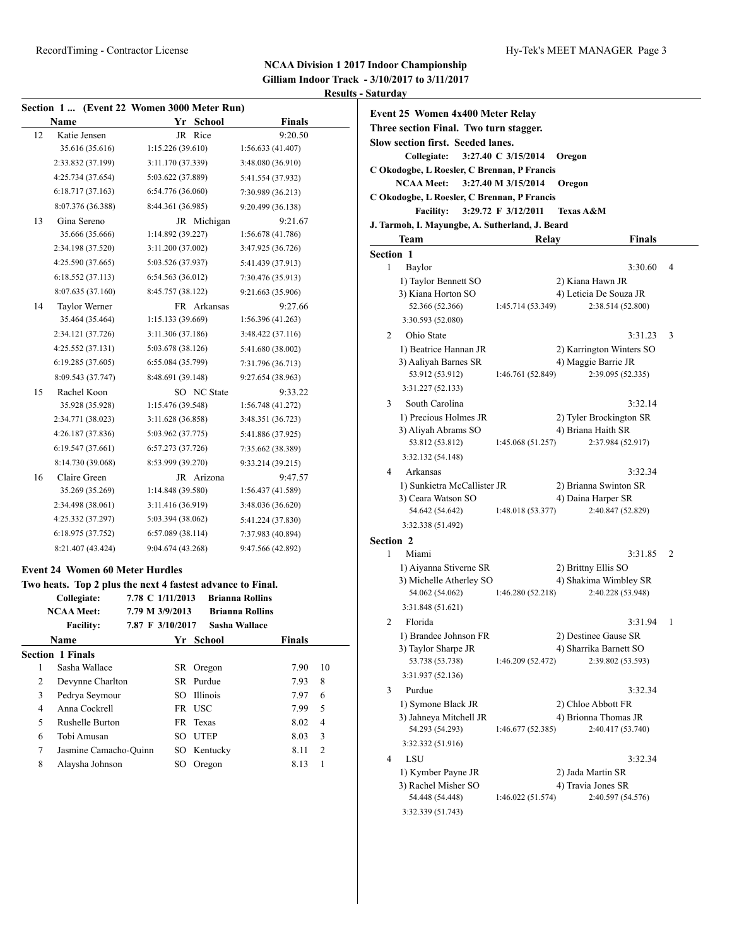### **NCAA Division 1 2017 Indoor Championship Gilliam Indoor Track - 3/10/2017 to 3/11/2017**

## **Results - Saturday**

| Section 1  (Event 22 Women 3000 Meter Run) |                                                            |                                     |          |             |                                                  |              |
|--------------------------------------------|------------------------------------------------------------|-------------------------------------|----------|-------------|--------------------------------------------------|--------------|
|                                            | Name                                                       |                                     |          | Yr School   | <b>Finals</b>                                    |              |
| 12                                         | Katie Jensen                                               |                                     |          | JR Rice     | 9:20.50                                          |              |
|                                            | 35.616 (35.616)                                            | 1:15.226(39.610)                    |          |             | 1:56.633 (41.407)                                |              |
|                                            | 2:33.832 (37.199)                                          | 3:11.170 (37.339)                   |          |             | 3:48.080 (36.910)                                |              |
|                                            | 4:25.734 (37.654)                                          | 5:03.622 (37.889)                   |          |             | 5:41.554 (37.932)                                |              |
|                                            | 6:18.717 (37.163)                                          | 6:54.776 (36.060)                   |          |             | 7:30.989 (36.213)                                |              |
|                                            | 8:07.376 (36.388)                                          | 8:44.361 (36.985)                   |          |             | 9:20.499 (36.138)                                |              |
| 13                                         | Gina Sereno                                                |                                     |          | JR Michigan | 9:21.67                                          |              |
|                                            | 35.666 (35.666)                                            | 1:14.892 (39.227)                   |          |             | 1:56.678(41.786)                                 |              |
|                                            | 2:34.198 (37.520)                                          | 3:11.200 (37.002)                   |          |             | 3:47.925 (36.726)                                |              |
|                                            | 4:25.590 (37.665)                                          | 5:03.526 (37.937)                   |          |             | 5:41.439 (37.913)                                |              |
|                                            | 6:18.552 (37.113)                                          | 6:54.563(36.012)                    |          |             | 7:30.476 (35.913)                                |              |
|                                            | 8:07.635 (37.160)                                          | 8:45.757 (38.122)                   |          |             | 9:21.663 (35.906)                                |              |
| 14                                         | Taylor Werner                                              |                                     |          | FR Arkansas | 9:27.66                                          |              |
|                                            | 35.464 (35.464)                                            | 1:15.133(39.669)                    |          |             | 1:56.396(41.263)                                 |              |
|                                            | 2:34.121 (37.726)                                          | 3:11.306 (37.186)                   |          |             | 3:48.422 (37.116)                                |              |
|                                            | 4:25.552(37.131)                                           | 5:03.678 (38.126)                   |          |             | 5:41.680 (38.002)                                |              |
|                                            | 6:19.285(37.605)                                           | 6:55.084 (35.799)                   |          |             | 7:31.796 (36.713)                                |              |
|                                            | 8:09.543 (37.747)                                          | 8:48.691 (39.148)                   |          |             | 9:27.654 (38.963)                                |              |
| 15                                         | Rachel Koon                                                |                                     |          | SO NC State | 9:33.22                                          |              |
|                                            | 35.928 (35.928)                                            | 1:15.476 (39.548)                   |          |             | 1:56.748 (41.272)                                |              |
|                                            | 2:34.771 (38.023)                                          | 3:11.628 (36.858)                   |          |             | 3:48.351 (36.723)                                |              |
|                                            | 4:26.187 (37.836)                                          | 5:03.962 (37.775)                   |          |             | 5:41.886 (37.925)                                |              |
|                                            | 6:19.547 (37.661)                                          | 6:57.273 (37.726)                   |          |             | 7:35.662 (38.389)                                |              |
|                                            | 8:14.730 (39.068)                                          | 8:53.999 (39.270)                   |          |             | 9:33.214 (39.215)                                |              |
| 16                                         | Claire Green                                               |                                     |          | JR Arizona  | 9:47.57                                          |              |
|                                            | 35.269 (35.269)                                            | 1:14.848 (39.580)                   |          |             | 1:56.437 (41.589)                                |              |
|                                            | 2:34.498 (38.061)                                          | 3:11.416 (36.919)                   |          |             | 3:48.036 (36.620)                                |              |
|                                            | 4:25.332 (37.297)                                          | 5:03.394 (38.062)                   |          |             | 5:41.224 (37.830)                                |              |
|                                            | 6:18.975 (37.752)                                          | 6:57.089(38.114)                    |          |             | 7:37.983 (40.894)                                |              |
|                                            | 8:21.407 (43.424)                                          | 9:04.674 (43.268)                   |          |             | 9:47.566 (42.892)                                |              |
|                                            |                                                            |                                     |          |             |                                                  |              |
|                                            | <b>Event 24 Women 60 Meter Hurdles</b>                     |                                     |          |             |                                                  |              |
|                                            | Two heats. Top 2 plus the next 4 fastest advance to Final. |                                     |          |             |                                                  |              |
|                                            | Collegiate:<br><b>NCAA Meet:</b>                           | 7.78 C 1/11/2013<br>7.79 M 3/9/2013 |          |             | <b>Brianna Rollins</b><br><b>Brianna Rollins</b> |              |
|                                            | <b>Facility:</b>                                           | 7.87 F 3/10/2017                    |          |             | Sasha Wallace                                    |              |
|                                            | Name                                                       |                                     | Yr       | School      | <b>Finals</b>                                    |              |
|                                            | <b>Section 1 Finals</b>                                    |                                     |          |             |                                                  |              |
| 1                                          | Sasha Wallace                                              |                                     | SR       | Oregon      | 7.90                                             | 10           |
| 2                                          | Devynne Charlton                                           |                                     | SR       | Purdue      | 7.93                                             | 8            |
| 3                                          | Pedrya Seymour                                             |                                     | SO       | Illinois    | 7.97                                             | 6            |
| 4                                          | Anna Cockrell                                              |                                     |          | FR USC      | 7.99                                             | 5            |
| 5                                          | Rushelle Burton                                            |                                     | FR       | Texas       | 8.02                                             | 4            |
| 6                                          | Tobi Amusan                                                |                                     | SO       | <b>UTEP</b> | 8.03                                             | 3            |
| 7                                          | Jasmine Camacho-Quinn                                      |                                     | SO       | Kentucky    | 8.11                                             | $\sqrt{2}$   |
| 8                                          | Alaysha Johnson                                            |                                     | $\rm SO$ | Oregon      | 8.13                                             | $\mathbf{1}$ |

| <u>aturuay</u>        |                                                                                                                        |                     |                                          |   |
|-----------------------|------------------------------------------------------------------------------------------------------------------------|---------------------|------------------------------------------|---|
|                       | Event 25 Women 4x400 Meter Relay<br>Three section Final. Two turn stagger.<br><b>Slow section first. Seeded lanes.</b> |                     |                                          |   |
|                       | Collegiate:                                                                                                            | 3:27.40 C 3/15/2014 | Oregon                                   |   |
|                       | C Okodogbe, L Roesler, C Brennan, P Francis                                                                            |                     |                                          |   |
|                       | <b>NCAA Meet:</b>                                                                                                      | 3:27.40 M 3/15/2014 | Oregon                                   |   |
|                       | C Okodogbe, L Roesler, C Brennan, P Francis<br><b>Facility:</b>                                                        | 3:29.72 F 3/12/2011 | <b>Texas A&amp;M</b>                     |   |
|                       | J. Tarmoh, I. Mayungbe, A. Sutherland, J. Beard                                                                        |                     |                                          |   |
|                       | Team                                                                                                                   | Relay               | <b>Finals</b>                            |   |
| Section 1             |                                                                                                                        |                     |                                          |   |
| 1                     | Baylor                                                                                                                 |                     | 3:30.60                                  | 4 |
|                       | 1) Taylor Bennett SO                                                                                                   |                     | 2) Kiana Hawn JR                         |   |
|                       | 3) Kiana Horton SO                                                                                                     |                     | 4) Leticia De Souza JR                   |   |
|                       | 52.366 (52.366)                                                                                                        | 1:45.714 (53.349)   | 2:38.514 (52.800)                        |   |
|                       | 3:30.593 (52.080)                                                                                                      |                     |                                          |   |
| 2                     | Ohio State                                                                                                             |                     | 3:31.23                                  | 3 |
|                       | 1) Beatrice Hannan JR                                                                                                  |                     | 2) Karrington Winters SO                 |   |
|                       | 3) Aaliyah Barnes SR<br>53.912 (53.912)                                                                                |                     | 4) Maggie Barrie JR<br>2:39.095 (52.335) |   |
|                       | 3:31.227 (52.133)                                                                                                      | 1:46.761 (52.849)   |                                          |   |
| 3                     | South Carolina                                                                                                         |                     | 3:32.14                                  |   |
|                       | 1) Precious Holmes JR                                                                                                  |                     | 2) Tyler Brockington SR                  |   |
|                       | 3) Aliyah Abrams SO                                                                                                    |                     | 4) Briana Haith SR                       |   |
|                       | 53.812 (53.812)                                                                                                        | 1:45.068 (51.257)   | 2:37.984 (52.917)                        |   |
|                       | 3:32.132 (54.148)                                                                                                      |                     |                                          |   |
| 4                     | Arkansas                                                                                                               |                     | 3:32.34                                  |   |
|                       | 1) Sunkietra McCallister JR                                                                                            |                     | 2) Brianna Swinton SR                    |   |
|                       | 3) Ceara Watson SO                                                                                                     |                     | 4) Daina Harper SR                       |   |
|                       | 54.642 (54.642)                                                                                                        | 1:48.018 (53.377)   | 2:40.847 (52.829)                        |   |
|                       | 3:32.338 (51.492)                                                                                                      |                     |                                          |   |
| <b>Section 2</b><br>1 | Miami                                                                                                                  |                     | 3:31.85                                  | 2 |
|                       | 1) Aiyanna Stiverne SR                                                                                                 |                     | 2) Brittny Ellis SO                      |   |
|                       | 3) Michelle Atherley SO                                                                                                |                     | 4) Shakima Wimbley SR                    |   |
|                       | 54.062 (54.062)                                                                                                        | 1:46.280 (52.218)   | 2:40.228 (53.948)                        |   |
|                       | 3:31.848 (51.621)                                                                                                      |                     |                                          |   |
| 2                     | Florida                                                                                                                |                     | 3:31.94                                  | 1 |
|                       | 1) Brandee Johnson FR                                                                                                  |                     | 2) Destinee Gause SR                     |   |
|                       | 3) Taylor Sharpe JR                                                                                                    |                     | 4) Sharrika Barnett SO                   |   |
|                       | 53.738 (53.738)                                                                                                        | 1:46.209 (52.472)   | 2:39.802 (53.593)                        |   |
| 3                     | 3:31.937 (52.136)<br>Purdue                                                                                            |                     |                                          |   |
|                       | 1) Symone Black JR                                                                                                     |                     | 3:32.34<br>2) Chloe Abbott FR            |   |
|                       | 3) Jahneya Mitchell JR                                                                                                 |                     | 4) Brionna Thomas JR                     |   |
|                       | 54.293 (54.293)                                                                                                        | 1:46.677 (52.385)   | 2:40.417 (53.740)                        |   |
|                       | 3:32.332 (51.916)                                                                                                      |                     |                                          |   |
| 4                     | LSU                                                                                                                    |                     | 3:32.34                                  |   |
|                       | 1) Kymber Payne JR                                                                                                     |                     | 2) Jada Martin SR                        |   |
|                       | 3) Rachel Misher SO                                                                                                    |                     | 4) Travia Jones SR                       |   |
|                       | 54.448 (54.448)                                                                                                        | 1:46.022 (51.574)   | 2:40.597 (54.576)                        |   |
|                       | 3:32.339 (51.743)                                                                                                      |                     |                                          |   |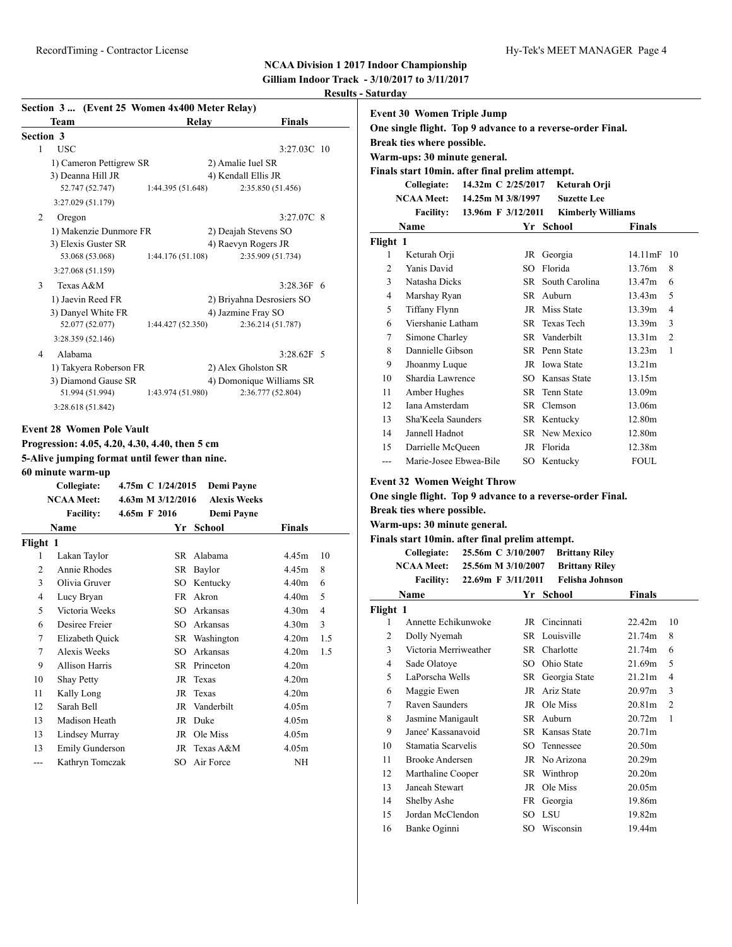**Gilliam Indoor Track - 3/10/2017 to 3/11/2017 Results - Saturday**

|                | Team                    | Relay             | <b>Finals</b>             |
|----------------|-------------------------|-------------------|---------------------------|
|                | <b>Section 3</b>        |                   |                           |
| 1              | <b>USC</b>              |                   | $3:27.03C$ 10             |
|                | 1) Cameron Pettigrew SR |                   | 2) Amalie Iuel SR         |
|                | 3) Deanna Hill JR       |                   | 4) Kendall Ellis JR       |
|                | 52.747 (52.747)         | 1:44.395 (51.648) | 2:35.850 (51.456)         |
|                | 3:27.029 (51.179)       |                   |                           |
| 2              | Oregon                  |                   | 3:27.07C 8                |
|                | 1) Makenzie Dunmore FR  |                   | 2) Deajah Stevens SO      |
|                | 3) Elexis Guster SR     |                   | 4) Raevyn Rogers JR       |
|                | 53.068 (53.068)         | 1:44.176 (51.108) | 2:35.909 (51.734)         |
|                | 3:27.068 (51.159)       |                   |                           |
| 3              | Texas A&M               |                   | $3:28.36F$ 6              |
|                | 1) Jaevin Reed FR       |                   | 2) Briyahna Desrosiers SO |
|                | 3) Danyel White FR      |                   | 4) Jazmine Fray SO        |
|                | 52.077 (52.077)         | 1:44.427 (52.350) | 2:36.214 (51.787)         |
|                | 3:28.359 (52.146)       |                   |                           |
| $\overline{4}$ | Alabama                 |                   | $3:28.62F$ 5              |
|                | 1) Takyera Roberson FR  |                   | 2) Alex Gholston SR       |
|                | 3) Diamond Gause SR     |                   | 4) Domonique Williams SR  |
|                | 51.994 (51.994)         | 1:43.974 (51.980) | 2:36.777 (52.804)         |
|                | 3:28.618 (51.842)       |                   |                           |

**Progression: 4.05, 4.20, 4.30, 4.40, then 5 cm 5-Alive jumping format until fewer than nine. 60 minute warm-up**

|          | Collegiate:<br><b>NCAA Meet:</b> | 4.75m C 1/24/2015<br>4.63m M 3/12/2016 |     | Demi Payne<br><b>Alexis Weeks</b> |                   |     |
|----------|----------------------------------|----------------------------------------|-----|-----------------------------------|-------------------|-----|
|          | <b>Facility:</b>                 | $4.65m$ F 2016                         |     | Demi Payne                        |                   |     |
|          | Name                             |                                        | Yr  | School                            | Finals            |     |
| Flight 1 |                                  |                                        |     |                                   |                   |     |
| 1        | Lakan Taylor                     |                                        | SR  | Alabama                           | 4.45m             | 10  |
| 2        | Annie Rhodes                     |                                        | SR  | Baylor                            | 4.45m             | 8   |
| 3        | Olivia Gruver                    |                                        | SО  | Kentucky                          | 4.40 <sub>m</sub> | 6   |
| 4        | Lucy Bryan                       |                                        | FR. | Akron                             | 4.40m             | 5   |
| 5        | Victoria Weeks                   |                                        | SO. | Arkansas                          | 4.30 <sub>m</sub> | 4   |
| 6        | Desiree Freier                   |                                        | SO. | Arkansas                          | 4.30 <sub>m</sub> | 3   |
| 7        | Elizabeth Quick                  |                                        |     | SR Washington                     | 4.20m             | 1.5 |
| 7        | Alexis Weeks                     |                                        | SO. | Arkansas                          | 4.20m             | 1.5 |
| 9        | Allison Harris                   |                                        | SR  | Princeton                         | 4.20m             |     |
| 10       | Shay Petty                       |                                        | JR  | Texas                             | 4.20m             |     |
| 11       | Kally Long                       |                                        | JR  | Texas                             | 4.20 <sub>m</sub> |     |
| 12       | Sarah Bell                       |                                        | JR  | Vanderbilt                        | 4.05m             |     |
| 13       | Madison Heath                    |                                        | JR  | Duke                              | 4.05m             |     |
| 13       | Lindsey Murray                   |                                        | JR  | Ole Miss                          | 4.05m             |     |
| 13       | Emily Gunderson                  |                                        | JR  | Texas A&M                         | 4.05m             |     |
| ---      | Kathryn Tomczak                  |                                        | SO  | Air Force                         | NH                |     |

| Event 30 Women Triple Jump<br>One single flight. Top 9 advance to a reverse-order Final.<br>Break ties where possible.<br>Warm-ups: 30 minute general.<br>Finals start 10min. after final prelim attempt. |                              |                    |           |                          |                   |                |  |
|-----------------------------------------------------------------------------------------------------------------------------------------------------------------------------------------------------------|------------------------------|--------------------|-----------|--------------------------|-------------------|----------------|--|
|                                                                                                                                                                                                           | Collegiate:                  | 14.32m C 2/25/2017 |           | Keturah Orji             |                   |                |  |
|                                                                                                                                                                                                           | NCAA Meet: 14.25m M 3/8/1997 |                    |           | <b>Suzette Lee</b>       |                   |                |  |
|                                                                                                                                                                                                           | Facility: 13.96m F 3/12/2011 |                    |           | <b>Kimberly Williams</b> |                   |                |  |
|                                                                                                                                                                                                           | Name                         |                    |           | Yr School                | <b>Finals</b>     |                |  |
| Flight 1<br>1                                                                                                                                                                                             |                              |                    |           |                          | $14.11 \text{mF}$ | 10             |  |
| $\overline{2}$                                                                                                                                                                                            | Keturah Orji<br>Yanis David  |                    | JR<br>SO. | Georgia<br>Florida       | 13.76m            | 8              |  |
| 3                                                                                                                                                                                                         | Natasha Dicks                |                    |           | SR South Carolina        | 13.47m            | 6              |  |
| 4                                                                                                                                                                                                         | Marshay Ryan                 |                    |           | SR Auburn                | 13.43m            | 5              |  |
| 5                                                                                                                                                                                                         | <b>Tiffany Flynn</b>         |                    |           | JR Miss State            | 13.39m            | $\overline{4}$ |  |
| 6                                                                                                                                                                                                         | Viershanie Latham            |                    |           | SR Texas Tech            | 13.39m            | 3              |  |
| 7                                                                                                                                                                                                         | Simone Charley               |                    |           | SR Vanderbilt            | 13.31m            | $\overline{2}$ |  |
| 8                                                                                                                                                                                                         | Dannielle Gibson             |                    |           | SR Penn State            | 13.23m            | 1              |  |
| 9                                                                                                                                                                                                         | Jhoanmy Luque                |                    |           | JR Iowa State            | 13.21m            |                |  |
| 10                                                                                                                                                                                                        | Shardia Lawrence             |                    |           | SO Kansas State          | 13.15m            |                |  |
| 11                                                                                                                                                                                                        | Amber Hughes                 |                    |           | SR Tenn State            | 13.09m            |                |  |
| 12                                                                                                                                                                                                        | Iana Amsterdam               |                    |           | SR Clemson               | 13.06m            |                |  |
| 13                                                                                                                                                                                                        | Sha'Keela Saunders           |                    |           | SR Kentucky              | 12.80m            |                |  |
| 14                                                                                                                                                                                                        | Jannell Hadnot               |                    |           | SR New Mexico            | 12.80m            |                |  |
| 15                                                                                                                                                                                                        | Darrielle McQueen            |                    |           | JR Florida               | 12.38m            |                |  |
| ---                                                                                                                                                                                                       | Marie-Josee Ebwea-Bile       |                    |           | SO Kentucky              | <b>FOUL</b>       |                |  |

**Event 32 Women Weight Throw**

#### **One single flight. Top 9 advance to a reverse-order Final.**

**Break ties where possible.**

**Warm-ups: 30 minute general.**

**Finals start 10min. after final prelim attempt.**

**Collegiate: 25.56m C 3/10/2007 Brittany Riley NCAA Meet: 25.56m M 3/10/2007 Brittany Riley Facility: 22.69m F 3/11/2011 Felisha Johnson**

|          | Name                   |      | Yr School       | <b>Finals</b>      |                |
|----------|------------------------|------|-----------------|--------------------|----------------|
| Flight 1 |                        |      |                 |                    |                |
| 1        | Annette Echikunwoke    |      | JR Cincinnati   | 22.42m             | 10             |
| 2        | Dolly Nyemah           |      | SR Louisville   | 21.74m             | 8              |
| 3        | Victoria Merriweather  |      | SR Charlotte    | 21.74m             | 6              |
| 4        | Sade Olatoye           | SO.  | Ohio State      | 21.69m             | 5              |
| 5        | LaPorscha Wells        | SR   | Georgia State   | 21.21m             | 4              |
| 6        | Maggie Ewen            | JR   | Ariz State      | 20.97 <sub>m</sub> | 3              |
| 7        | Raven Saunders         | JR   | Ole Miss        | 20.81 <sub>m</sub> | $\overline{c}$ |
| 8        | Jasmine Manigault      |      | SR Auburn       | 20.72m             | 1              |
| 9        | Janee' Kassanavoid     |      | SR Kansas State | 20.71 <sub>m</sub> |                |
| 10       | Stamatia Scarvelis     |      | SO Tennessee    | 20.50m             |                |
| 11       | <b>Brooke Andersen</b> |      | JR No Arizona   | 20.29m             |                |
| 12       | Marthaline Cooper      |      | SR Winthrop     | 20.20 <sub>m</sub> |                |
| 13       | Janeah Stewart         |      | JR Ole Miss     | 20.05m             |                |
| 14       | Shelby Ashe            |      | FR Georgia      | 19.86m             |                |
| 15       | Jordan McClendon       |      | SO LSU          | 19.82m             |                |
| 16       | Banke Oginni           | SO - | Wisconsin       | 19.44m             |                |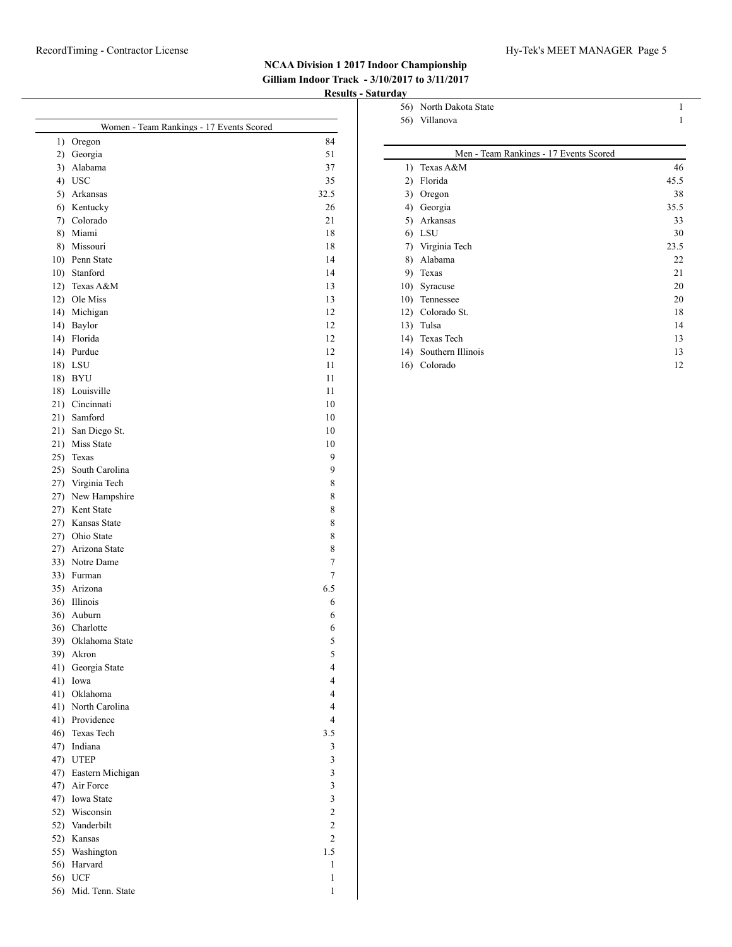|     | Women - Team Rankings - 17 Events Scored |                |
|-----|------------------------------------------|----------------|
|     | 1) Oregon                                | 84             |
|     | 2) Georgia                               | 51             |
| 3)  | Alabama                                  | 37             |
|     | 4) USC                                   | 35             |
|     | 5) Arkansas                              | 32.5           |
|     | 6) Kentucky                              | 26             |
|     | 7) Colorado                              | 21             |
|     | 8) Miami                                 | 18             |
|     | 8) Missouri                              | 18             |
|     | 10) Penn State                           | 14             |
|     | 10) Stanford                             | 14             |
|     | 12) Texas A&M                            | 13             |
|     | 12) Ole Miss                             | 13             |
|     | 14) Michigan                             | 12             |
|     | 14) Baylor                               | 12             |
|     | 14) Florida                              | 12             |
|     | 14) Purdue                               | 12             |
|     | 18) LSU                                  | 11             |
|     | 18) BYU                                  | 11             |
|     | 18) Louisville                           | 11             |
|     | 21) Cincinnati                           | 10             |
|     | 21) Samford                              | 10             |
|     | 21) San Diego St.                        | 10             |
|     | 21) Miss State                           | 10             |
|     | 25) Texas                                | 9              |
|     | 25) South Carolina                       | 9              |
|     | 27) Virginia Tech                        | 8              |
|     | 27) New Hampshire                        | 8              |
|     | 27) Kent State                           | 8              |
|     | 27) Kansas State                         | 8              |
|     | 27) Ohio State                           | 8              |
|     | 27) Arizona State                        | 8              |
|     | 33) Notre Dame                           | 7              |
|     | 33) Furman                               | 7              |
|     | 35) Arizona                              | 6.5            |
|     | 36) Illinois                             | 6              |
|     | 36) Auburn                               | 6              |
|     | 36) Charlotte                            | 6              |
|     | 39) Oklahoma State                       | 5              |
| 39) | Akron                                    | 5              |
| 41) | Georgia State                            | 4              |
|     | 41) Iowa                                 | $\overline{4}$ |
|     | 41) Oklahoma                             | $\overline{4}$ |
|     | 41) North Carolina                       | 4              |
|     | 41) Providence                           | $\overline{4}$ |
|     | 46) Texas Tech                           | 3.5            |
|     | 47) Indiana                              | 3              |
|     | 47) UTEP                                 | 3              |
|     | 47) Eastern Michigan                     | $\mathfrak{Z}$ |
|     | 47) Air Force                            | 3              |
|     | 47) Iowa State                           | 3              |
|     | 52) Wisconsin                            | $\mathfrak{2}$ |
|     | 52) Vanderbilt                           | $\overline{c}$ |
|     | 52) Kansas                               | $\overline{c}$ |
|     | 55) Washington                           | 1.5            |
|     | 56) Harvard                              | 1              |
|     | 56) UCF                                  | 1              |
|     | 56) Mid. Tenn. State                     | 1              |

| 56) | North Dakota State                     | 1    |  |  |  |  |  |  |  |  |  |
|-----|----------------------------------------|------|--|--|--|--|--|--|--|--|--|
| 56) | Villanova                              | 1    |  |  |  |  |  |  |  |  |  |
|     |                                        |      |  |  |  |  |  |  |  |  |  |
|     | Men - Team Rankings - 17 Events Scored |      |  |  |  |  |  |  |  |  |  |
| 1)  | Texas A&M                              | 46   |  |  |  |  |  |  |  |  |  |
| 2)  | Florida                                | 45.5 |  |  |  |  |  |  |  |  |  |
| 3)  | Oregon                                 | 38   |  |  |  |  |  |  |  |  |  |
| 4)  | Georgia                                | 35.5 |  |  |  |  |  |  |  |  |  |
| 5)  | Arkansas                               | 33   |  |  |  |  |  |  |  |  |  |
| 6)  | LSU                                    | 30   |  |  |  |  |  |  |  |  |  |
| 7)  | Virginia Tech                          | 23.5 |  |  |  |  |  |  |  |  |  |
| 8)  | Alabama                                | 22   |  |  |  |  |  |  |  |  |  |
| 9)  | Texas                                  | 21   |  |  |  |  |  |  |  |  |  |
| 10) | Syracuse                               | 20   |  |  |  |  |  |  |  |  |  |
| 10) | Tennessee                              | 20   |  |  |  |  |  |  |  |  |  |
| 12) | Colorado St.                           | 18   |  |  |  |  |  |  |  |  |  |
| 13) | Tulsa                                  | 14   |  |  |  |  |  |  |  |  |  |
| 14) | Texas Tech                             | 13   |  |  |  |  |  |  |  |  |  |
| 14) | Southern Illinois                      | 13   |  |  |  |  |  |  |  |  |  |
| 16) | Colorado                               | 12   |  |  |  |  |  |  |  |  |  |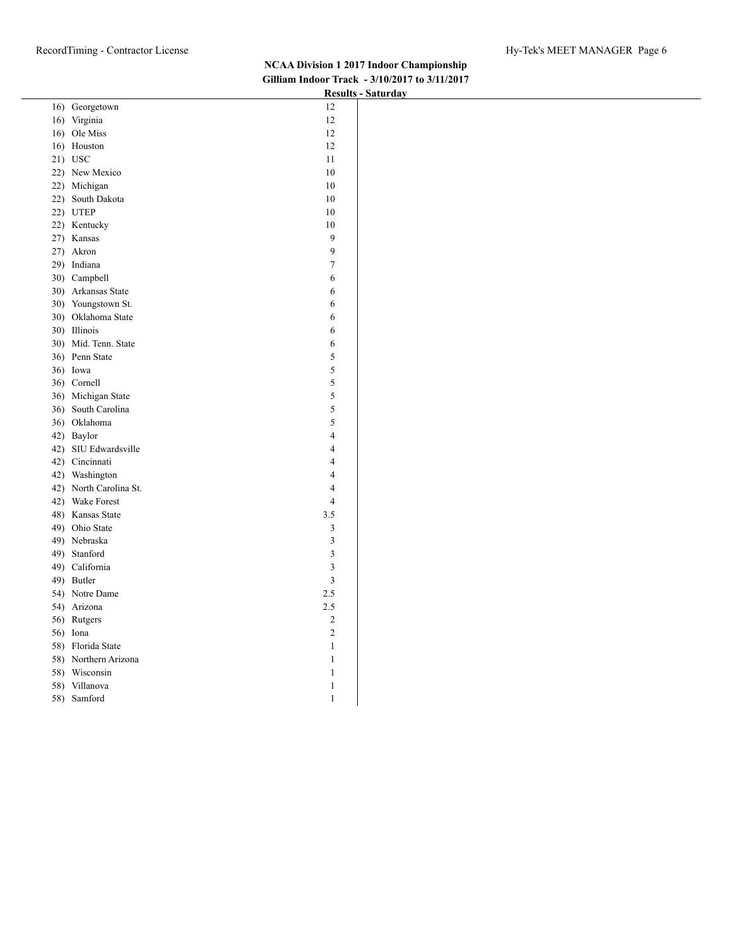|                                          | Results - Saturuay |
|------------------------------------------|--------------------|
| 16) Georgetown<br>12                     |                    |
| 16) Virginia<br>12                       |                    |
| 16) Ole Miss<br>12                       |                    |
| $12\,$<br>16) Houston                    |                    |
| 21) USC<br>$11\,$                        |                    |
| 22) New Mexico<br>10                     |                    |
| 22) Michigan<br>10                       |                    |
| 22) South Dakota<br>10                   |                    |
| 22) UTEP<br>10                           |                    |
| 22) Kentucky<br>$10\,$                   |                    |
| 27) Kansas<br>$\boldsymbol{9}$           |                    |
| $\overline{9}$<br>27) Akron              |                    |
| $\boldsymbol{7}$<br>29) Indiana          |                    |
| 30) Campbell<br>6                        |                    |
| 30) Arkansas State<br>$\boldsymbol{6}$   |                    |
| 30) Youngstown St.<br>$\sqrt{6}$         |                    |
| 30) Oklahoma State<br>$\sqrt{6}$         |                    |
| 30) Illinois<br>6                        |                    |
| 30) Mid. Tenn. State<br>6                |                    |
| 5<br>36) Penn State                      |                    |
| 5<br>36) Iowa                            |                    |
| $\sqrt{5}$<br>36) Cornell                |                    |
| $\sqrt{5}$<br>36) Michigan State         |                    |
| 36) South Carolina<br>$\sqrt{5}$         |                    |
| 5<br>36) Oklahoma                        |                    |
| 42) Baylor<br>$\overline{4}$             |                    |
| 42) SIU Edwardsville<br>$\overline{4}$   |                    |
| 42) Cincinnati<br>$\overline{4}$         |                    |
| 42) Washington<br>$\overline{4}$         |                    |
| 42) North Carolina St.<br>$\overline{4}$ |                    |
| 42) Wake Forest<br>$\overline{4}$        |                    |
| 3.5<br>48) Kansas State                  |                    |
| 49) Ohio State<br>$\mathfrak{Z}$         |                    |
| $\mathfrak{Z}$<br>49) Nebraska           |                    |
| $\overline{\mathbf{3}}$<br>49) Stanford  |                    |
| $\sqrt{3}$<br>49) California             |                    |
| 49) Butler<br>$\sqrt{3}$                 |                    |
| 54) Notre Dame<br>$2.5\,$                |                    |
| 54) Arizona<br>$2.5\,$                   |                    |
| $\sqrt{2}$<br>56) Rutgers                |                    |
| $\sqrt{2}$<br>56) Iona                   |                    |
| 58) Florida State<br>$\mathbf{1}$        |                    |
| 58) Northern Arizona<br>$\mathbf{1}$     |                    |
| 58) Wisconsin<br>$\mathbf{1}$            |                    |
| 58) Villanova<br>$\mathbf{1}$            |                    |
| 58) Samford<br>$\mathbf{1}$              |                    |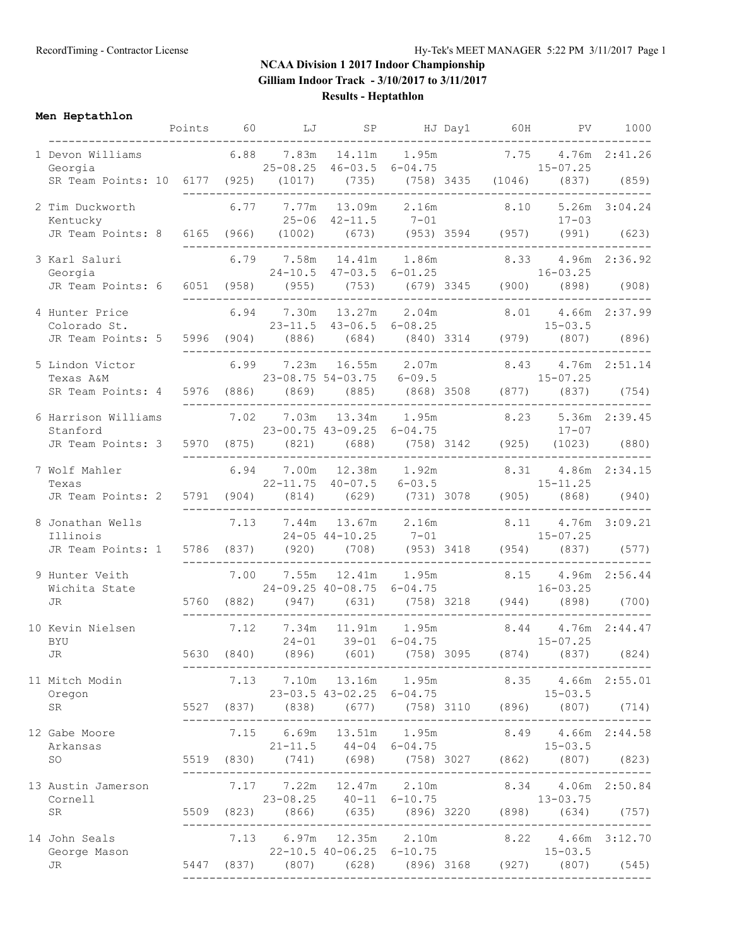**Men Heptathlon**

|                                                                                                                                                                                               | Points 60  |            | LJ |                                                                          | SP HJ Day1 60H              |  | PV <sub>1</sub>                                                                                                                            | 1000          |
|-----------------------------------------------------------------------------------------------------------------------------------------------------------------------------------------------|------------|------------|----|--------------------------------------------------------------------------|-----------------------------|--|--------------------------------------------------------------------------------------------------------------------------------------------|---------------|
| 1 Devon Williams 6.88 7.83m 14.11m 1.95m 7.75 4.76m 2:41.26<br>Georgia<br>SR Team Points: 10 6177 (925) (1017) (735) (758) 3435 (1046) (837)                                                  |            |            |    |                                                                          |                             |  | $25-08.25$ $46-03.5$ $6-04.75$ $15-07.25$                                                                                                  | (859)         |
| 2 Tim Duckworth<br>Kentucky                                                                                                                                                                   |            |            |    | $6.77$ $7.77m$ $13.09m$ $2.16m$ $8.10$<br>$25 - 06$ $42 - 11.5$ $7 - 01$ |                             |  | $17 - 03$                                                                                                                                  | 5.26m 3:04.24 |
| JR Team Points: 8 6165 (966) (1002) (673) (953) 3594 (957) (991) (623)                                                                                                                        |            |            |    |                                                                          |                             |  |                                                                                                                                            |               |
| Exarl Saluri 6.79 7.58m 14.41m 1.86m 8.33 4.96m 2:36.92<br>Georgia 24-10.5 47-03.5 6-01.25 16-03.25<br>JR Team Points: 6 6051 (958) (955) (753) (679) 3345 (900) (898) (908)<br>3 Karl Saluri |            |            |    |                                                                          |                             |  |                                                                                                                                            |               |
|                                                                                                                                                                                               |            |            |    |                                                                          |                             |  |                                                                                                                                            |               |
| 4 Hunter Price<br>Colorado St.                                                                                                                                                                |            |            |    |                                                                          |                             |  | 6.94 7.30m 13.27m 2.04m 8.01 4.66m 2:37.99<br>$23-11.5$ $43-06.5$ $6-08.25$ $15-03.5$                                                      |               |
| JR Team Points: 5 5996 (904) (886) (684) (840) 3314 (979) (807)                                                                                                                               |            |            |    |                                                                          |                             |  |                                                                                                                                            | (896)         |
| 5 Lindon Victor<br>Texas A&M<br>SR Team Points: 4                                                                                                                                             | 5976 (886) |            |    |                                                                          |                             |  | 6.99 7.23m 16.55m 2.07m 8.43 4.76m 2:51.14<br>$23-08.75$ 54-03.75 6-09.5<br>(886) (869) (885) (868) 3508 (877) (837) (754)                 |               |
|                                                                                                                                                                                               |            |            |    |                                                                          |                             |  |                                                                                                                                            |               |
| 6 Harrison Williams<br>Stanford<br>JR Team Points: 3 5970 (875) (821) (688) (758) 3142 (925) (1023) (880)                                                                                     |            | 7.02       |    |                                                                          |                             |  | $7.03m$ 13.34m 1.95m 8.23 5.36m 2:39.45<br>23-00.75 43-09.25 6-04.75 17-07                                                                 |               |
|                                                                                                                                                                                               |            |            |    | -------------------------------------                                    |                             |  |                                                                                                                                            |               |
| 7 Wolf Mahler<br>Texas<br>JR Team Points: 2 5791 (904) (814) (629) (731) 3078 (905) (868)                                                                                                     |            |            |    |                                                                          |                             |  | 6.94 7.00m 12.38m 1.92m 8.31 4.86m 2:34.15<br>$22-11.75$ $40-07.5$ $6-03.5$ $15-11.25$                                                     | (940)         |
| 8 Jonathan Wells                                                                                                                                                                              |            |            |    |                                                                          |                             |  | 7.13 7.44m 13.67m 2.16m 8.11 4.76m 3:09.21                                                                                                 |               |
| Illinois<br>JR Team Points: 1 5786 (837) (920) (708) (953) 3418 (954) (837)                                                                                                                   |            |            |    |                                                                          |                             |  | $24-05$ 44-10.25 $7-01$ $15-07.25$                                                                                                         | (577)         |
| 9 Hunter Veith<br>Wichita State                                                                                                                                                               |            | 7.00       |    |                                                                          |                             |  | $7.55m$ 12.41m 1.95m 8.15 4.96m 2:56.44<br>24-09.25 40-08.75 6-04.75 16-03.25                                                              |               |
| <b>JR</b>                                                                                                                                                                                     |            |            |    |                                                                          |                             |  | 5760 (882) (947) (631) (758) 3218 (944) (898) (700)                                                                                        |               |
| 10 Kevin Nielsen<br><b>BYU</b>                                                                                                                                                                |            |            |    |                                                                          |                             |  | 7.12 7.34m 11.91m 1.95m 8.44 4.76m 2:44.47<br>24-01 39-01 6-04.75 15-07.25                                                                 |               |
| JR                                                                                                                                                                                            |            | 5630 (840) |    | (896) (601) (758) 3095                                                   | ___________________________ |  | $(874)$ $(837)$                                                                                                                            | (824)         |
| 11 Mitch Modin<br>Oregon                                                                                                                                                                      |            |            |    | 7.13 7.10m 13.16m 1.95m<br>23-03.5 43-02.25 6-04.75                      |                             |  | 8.35 4.66m 2:55.01<br>$15 - 03.5$                                                                                                          |               |
| SR                                                                                                                                                                                            |            |            |    |                                                                          |                             |  | 5527 (837) (838) (677) (758) 3110 (896) (807) (714)                                                                                        |               |
| 12 Gabe Moore<br>Arkansas                                                                                                                                                                     |            |            |    |                                                                          |                             |  | 7.15 6.69m 13.51m 1.95m 8.49 4.66m 2:44.58<br>$21-11.5$ $44-04$ $6-04.75$ $15-03.5$<br>5519 (830) (741) (698) (758) 3027 (862) (807) (823) |               |
| SO                                                                                                                                                                                            |            |            |    |                                                                          |                             |  |                                                                                                                                            |               |
| 13 Austin Jamerson<br>Cornell                                                                                                                                                                 |            |            |    |                                                                          |                             |  | 7.17 7.22m 12.47m 2.10m 8.34 4.06m 2:50.84<br>23-08.25 40-11 6-10.75 13-03.75                                                              |               |
| SR                                                                                                                                                                                            |            |            |    |                                                                          |                             |  |                                                                                                                                            |               |
| 14 John Seals<br>George Mason<br>JR                                                                                                                                                           |            |            |    | 7.13 6.97m 12.35m 2.10m<br>22-10.5 40-06.25 6-10.75                      |                             |  | 8.22 4.66m 3:12.70<br>$15 - 03.5$<br>5447 (837) (807) (628) (896) 3168 (927) (807) (545)                                                   |               |
|                                                                                                                                                                                               |            |            |    |                                                                          |                             |  |                                                                                                                                            |               |